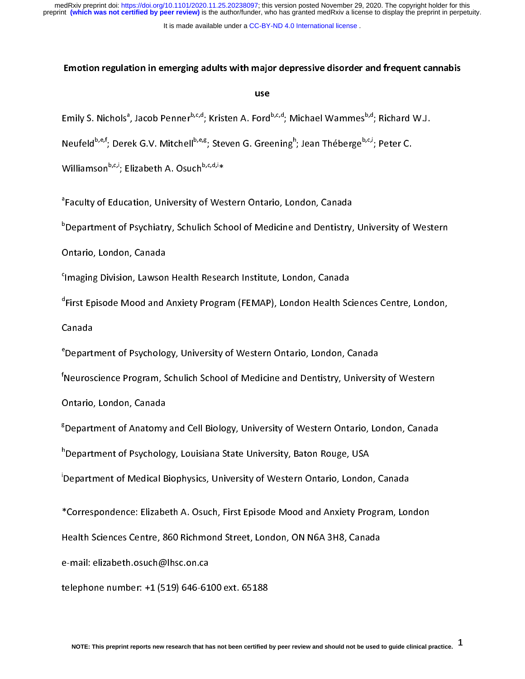It is made available under a [CC-BY-ND 4.0 International license](http://creativecommons.org/licenses/by-nd/4.0/) .

#### Emotion regulation in emerging adults with major depressive disorder and frequent cannabis

#### use

Emily S. Nichols<sup>a</sup><br>Neufeld<sup>b,e,f</sup>; Dere<br>Williamson<sup>b,c,i</sup>; E<br><sup>a</sup>Faculty of Educa , Jacob Penner<sup>b,c,d</sup>; Kristen A. Ford<sup>b,c,d</sup>; Michael Wammes<sup>b,d</sup>; Richard W.J.<br>ek G.V. Mitchell<sup>b,e,g</sup>; Steven G. Greening<sup>h</sup>; Jean Théberge<sup>b,c,i</sup>; Peter C.<br>lizabeth A. Osuch<sup>b,c,d,i</sup>\*<br>ation, University of Western Ontar

Neufeld<sup>o,e,</sup>'; Derek G.V. Mitchell<sup>o,e,g</sup>; Steven G. Greening''<br>Williamson<sup>b,c,i</sup>; Elizabeth A. Osuch<sup>b,c,d,i</sup>\*<br><sup>a</sup>Faculty of Education, University of Western Ontario, Loi<br><sup>b</sup>Department of Psychiatry, Schulich School of M Williamson<sup>o,c,i</sup>; Elizabeth A. Osuch<sup>o,c,d,</sup>i\*<br><sup>a</sup>Faculty of Education, University of Wes<br><sup>b</sup>Department of Psychiatry, Schulich Sch<br>Ontario, London, Canada <sup>a</sup>Faculty of Education, University of Western Ontario, London, Canada

; Jean Théberge<sup>o,c,</sup>'; Peter C.<br>ndon, Canada<br>and Dentistry, University of ' Faculty of Pepartment of Psychiatry, Schulich School of Medicine and Dentistry,<br>Thario, London, Canada<br>Imaging Division, Lawson Health Research Institute, London, Canada<br>First Episode Mood and Anxiety Program (FEMAP). Lond b

<sup>C</sup>lmaging Division, Lawson<br><sup>d</sup>First Episode Mood and *A*<br>Canada<br><sup>e</sup> Department of Psycholos <sup>c</sup>imaging Division, Lawson Health Research Institute, London, Canada

Dhtario, London, Canada<br>Dhtario, London, Canada<br>Imaging Division, Lawson Health Research Institute, London, Canada<br>First Episode Mood and Anxiety Program (FEMAP), London Health Sciences Centre, London,<br>Canada d First Episode Mood and Anxiety Program (FEMAP). London Health Sciences Centre, London.

Imaging Divid Divid Divid Divid Divid Prosent<br>Tirst Episode Mood and Anxiety Program (FEMAP), London Health Sc<br>Department of Psychology, University of Western Ontario, London, C<br>Neuroscience Program. Schulich School of Med <sup>e</sup> Department of Psychology, University of Western Ontario, London, Canada

First Episode Mood and Analysis Episode (FEMA), London Modell Chanap), London<br>Department of Psychology, University of Western Ontario, London, Canada<br>Neuroscience Program, Schulich School of Medicine and Dentistry, Univers <sup>e</sup>Depart<br><sup>f</sup>Neurose<br>Ontario,<br><sup>g</sup>Departi Neuroscience Program, Schulich School of Medicine and Dentistry, Universit<br>Dntario, London, Canada<br>Department of Anatomy and Cell Biology, University of Western Ontario, Lo<br>Department of Psychology, Louisiana State Univers <sup>†</sup>Neuroscience Program, Schulich School of Medicine and Dentistry, University of Western

Neuroscience Program, Schulich Schulich Schulich Schule, Neurosciency of Medicine<br>Nepartment of Anatomy and Cell Biology, University of Western Ontario, London, Canada<br>Nepartment of Medical Biophysics. University of Wester s<br>Bepartment of Anatomy<br><sup>h</sup>Department of Psycholog<br>Department of Medical B <sup>g</sup>Department of Anatomy and Cell Biology, University of Western Ontario, London, Canada

<sup>h</sup>Department of Psychology, Louisiana State University, Baton Rouge, USA

Department of Psychology, Louisiana State University, Baton Rouge, USA<br>Department of Medical Biophysics, University of Western Ontario, London, Canada<br>Correspondence: Elizabeth A. Osuch, First Episode Mood and Anxiety Prog Department of Medical Biophysics, University of Western Ontario, Londor<br>Correspondence: Elizabeth A. Osuch, First Episode Mood and Anxiety Pro<br>Health Sciences Centre, 860 Richmond Street, London, ON N6A 3H8, Cana 'Department of Medical Biophysics, University of Western Ontario, London, Canada

\*Correspondence: Elizabeth A. Osuch, First Episode Mood and Anxiety Program, Lor<br>Health Sciences Centre, 860 Richmond Street, London, ON N6A 3H8, Canada<br>e-mail: elizabeth.osuch@lhsc.on.ca

Health Sciences Centre, 860 Richmond Street, London, ON N6A 3H8, Canada<br>e-mail: elizabeth.osuch@lhsc.on.ca<br>telephone number: +1 (519) 646-6100 ext. 65188

Health Science Science, 9 Streamhann Street, Jacobian, Science, Science, London<br>Health Sciences Centre, 200 Richmond Street, 200<br>Health Science Name: +1 (519) 646-6100 ext. 65188 telephone number: +1 (519) 646-61<br>NOTE: This preprint reports new research that ha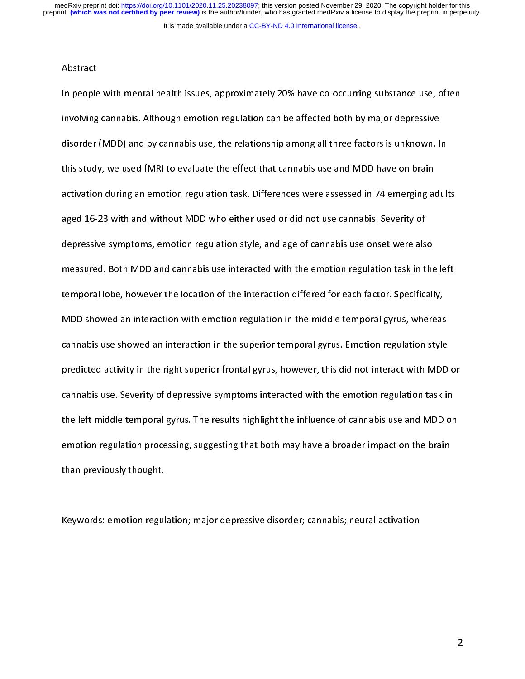It is made available under a [CC-BY-ND 4.0 International license](http://creativecommons.org/licenses/by-nd/4.0/) .

#### Abstract

In people<br>involving<br>disorder<br>this study Involving cannabis. Although emotion regulation can be affected both by major depressive<br>disorder (MDD) and by cannabis use, the relationship among all three factors is unknown. In<br>this study, we used fMRI to evaluate the in a though emmanded both cannabis use, the relationship among all three factors is unknown. I<br>this study, we used fMRI to evaluate the effect that cannabis use and MDD have on brain<br>activation during an emotion regulation this study, we used fMRI to evaluate the effect that cannabis use and MDD have on brain<br>activation during an emotion regulation task. Differences were assessed in 74 emerging adult<br>aged 16-23 with and without MDD who eithe the study, we assessed in 74 energy and activation during an emotion regulation task. Differences were assessed in 74 emerging at<br>aged 16-23 with and without MDD who either used or did not use cannabis. Severity of<br>depress aged 16-23 with and without MDD who either used or did not use cannabis. Severity of<br>depressive symptoms, emotion regulation style, and age of cannabis use onset were also<br>measured. Both MDD and cannabis use interacted wit depressive symptoms, emotion regulation style, and age of cannabis use onset were als<br>measured. Both MDD and cannabis use interacted with the emotion regulation task in t<br>temporal lobe, however the location of the interact measured. Both MDD and cannabis use interacted with the emotion regulation task in the<br>temporal lobe, however the location of the interaction differed for each factor. Specificall<br>MDD showed an interaction with emotion reg temporal lobe, however the location of the interaction differed for each factor. Specifically,<br>MDD showed an interaction with emotion regulation in the middle temporal gyrus, whereas<br>cannabis use showed an interaction in t the MDD showed an interaction with emotion regulation in the middle temporal gyrus, whereas<br>cannabis use showed an interaction in the superior temporal gyrus. Emotion regulation style<br>predicted activity in the right superi Examplis use showed an interaction in the superior temporal gyrus. Emotion regulation style<br>predicted activity in the right superior frontal gyrus, however, this did not interact with MDD<br>cannabis use. Severity of depressi predicted activity in the right superior frontal gyrus, however, this did not interact with MDD<br>cannabis use. Severity of depressive symptoms interacted with the emotion regulation task in<br>the left middle temporal gyrus. T predicted activity, in the right superior frontal gyrus, however, this did not interact with the connabis use.<br>
Severity of depressive symptoms interacted with the emotion regulation task in<br>
the left middle temporal gyrus cannable according of depressive symptoms interacted with the emotion regulation task in<br>the left middle temporal gyrus. The results highlight the influence of cannabis use and MDD or<br>emotion regulation processing, suggest the left middle temporal gyrus. The left middle temporal emotion regulation processing, suggesting that both may have a broader impact on the brain<br>than previously thought.<br>Keywords: emotion regulation: maior depressive di emotion regulation processing, suggesting that both may have a broader impact on the brain<br>than previously thought.<br>Keywords: emotion regulation; major depressive disorder; cannabis; neural activation

than previously than the very<br>Keywords: emotion regul  $\frac{1}{2}$ Keywords: emotion regulation; major depressive disorder; cannabis; neural activation

 $\overline{2}$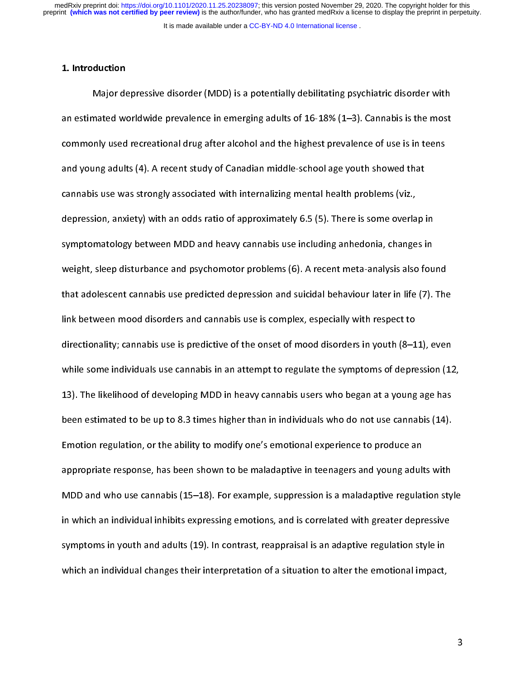It is made available under a [CC-BY-ND 4.0 International license](http://creativecommons.org/licenses/by-nd/4.0/) .

# 1. Introduction

Mated worldwide prevalence in emerging adults of 16-18% (1–3). Cannabis is the most<br>nly used recreational drug after alcohol and the highest prevalence of use is in teens<br>ung adults (4). A recent study of Canadian middle-s commonly used recreational drug after alcohol and the highest prevalence of use is in teens<br>and young adults (4). A recent study of Canadian middle-school age youth showed that<br>cannabis use was strongly associated with int and young adults (4). A recent study of Canadian middle-school age youth showed that<br>cannabis use was strongly associated with internalizing mental health problems (viz.,<br>depression, anxiety) with an odds ratio of approxim and young adults (4). A recent study of Canadian middle-school age youth showed that<br>cannabis use was strongly associated with internalizing mental health problems (viz.,<br>depression, anxiety) with an odds ratio of approxim depression, anxiety) with an odds ratio of approximately 6.5 (5). There is some overla<br>symptomatology between MDD and heavy cannabis use including anhedonia, change<br>weight, sleep disturbance and psychomotor problems (6). A symptomatology between MDD and heavy cannabis use including anhedonia, changes in<br>weight, sleep disturbance and psychomotor problems (6). A recent meta-analysis also fou<br>that adolescent cannabis use predicted depression an symptomatology accurations and psychomotor problems (6). A recent meta-analysis also fourther with the domestion and succelession and suicidal behaviour later in life (7).<br>Ink between mood disorders and cannabis use is com that adolescent cannabis use predicted depression and suicidal behaviour later in life (7). The<br>link between mood disorders and cannabis use is complex, especially with respect to<br>directionality; cannabis use is predictive that between mood disorders and cannabis use is complex, especially with respect to<br>directionality; cannabis use is predictive of the onset of mood disorders in youth (8–11), even<br>while some individuals use cannabis in an directionality; cannabis use is predictive of the onset of mood disorders in youth (8–1<br>while some individuals use cannabis in an attempt to regulate the symptoms of depre<br>13). The likelihood of developing MDD in heavy can while some individuals use cannabis in an attempt to regulate the symptoms of depression (1.<br>13). The likelihood of developing MDD in heavy cannabis users who began at a young age has<br>been estimated to be up to 8.3 times h while some individuals in an attempt to regulate the symptoms of applession (12)<br>13). The likelihood of developing MDD in heavy cannabis users who began at a young age has<br>been estimated to be up to 8.3 times higher than i 13). The likelihood of developing MDD in heavy cannot actor the segments young age has<br>been estimated to be up to 8.3 times higher than in individuals who do not use cannabis (14).<br>Emotion regulation, or the ability to mod Emotion regulation, or the ability to modify one's emotional experience to produce an<br>appropriate response, has been shown to be maladaptive in teenagers and young adults with<br>MDD and who use cannabis (15–18). For example, Emotion regulation, or the ability of the ability of the ability of the ability in teenagers and young adult<br>ADD and who use cannabis (15–18). For example, suppression is a maladaptive regulat<br>in which an individual inhibi MDD and who use cannabis (15–18). For example, suppression is a maladaptive regulation sty<br>in which an individual inhibits expressing emotions, and is correlated with greater depressive<br>symptoms in youth and adults (19). In which an individual inhibits expressing emotions, and is correlated with greater depressive<br>symptoms in youth and adults (19). In contrast, reappraisal is an adaptive regulation style in<br>which an individual changes thei symptoms in youth and adults (19). In contrast, reappraisal is an adaptive regulation style in<br>which an individual changes their interpretation of a situation to alter the emotional impact, symptoms in youth and individual changes their interpretation of a situation to alter the emotional impact, which an individual changes their interpretation of a situation to alter the emotional impact, which an individual changes their interpretation of a situation of a situation of a situation of a situation of a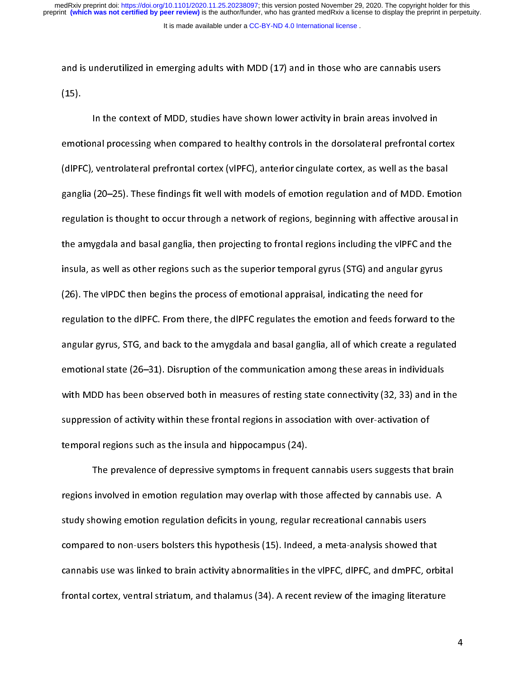It is made available under a [CC-BY-ND 4.0 International license](http://creativecommons.org/licenses/by-nd/4.0/) . preprint **(which was not certified by peer review)** is the author/funder, who has granted medRxiv a license to display the preprint in perpetuity. medRxiv preprint doi: [https://doi.org/10.1101/2020.11.25.20238097;](https://doi.org/10.1101/2020.11.25.20238097) this version posted November 29, 2020. The copyright holder for this

(15).<br>In the context of MDD, studies have shown lower activity in brain areas involved in<br>emotional processing when compared to healthy controls in the dorsolateral prefrontal cort<br>(dlPFC), ventrolateral prefrontal cortex (11)<br>emot<br>gangl In the context of MDD, and processing when compared to healthy controls in the dorsolateral prefrontal context<br>In the more shown are activity in the dorsolateral prefrontal context<br>In the context views of example in the ba emotional processing of the motion of the cortex, as well as the basal<br>ganglia (20–25). These findings fit well with models of emotion regulation and of MDD. Emotio<br>regulation is thought to occur through a network of regio (and 2), constanting prefrontal cortex (40 - 2), anterior ingulate cortes, as the basaloguizal present and defending states and parallel and the regulation is thought to occur through a network of regions, beginning with a ganglia (20–25). These finality of the findings fit with models of the among supplied to an analoged in regulation is thought to occur through a network of regions, beginning with affective arousal in the amygdala and basa the amygdala and basal ganglia, then projecting to frontal regions including the vlPFC and the<br>insula, as well as other regions such as the superior temporal gyrus (STG) and angular gyrus<br>(26). The vlPDC then begins the pr the amygendala and basal ganglia, then projecting to frontal regions meaning the virte and the<br>insula, as well as other regions such as the superior temporal gyrus (STG) and angular gyrus<br>(26). The vlPDC then begins the pr (26). The vlPDC then begins the process of emotional appraisal, indicating the need for<br>regulation to the dlPFC. From there, the dlPFC regulates the emotion and feeds forward to t<br>angular gyrus, STG, and back to the amygda regulation to the dlPFC. From there, the dlPFC regulates the emotion and feeds forward<br>angular gyrus, STG, and back to the amygdala and basal ganglia, all of which create a re<br>emotional state (26–31). Disruption of the com regulation to the dividend matrix of the dimensional ganglia, all of which create a regulated<br>angular gyrus, STG, and back to the amygdala and basal ganglia, all of which create a regulated<br>emotional state (26–31). Disrupt Examples areas in individuals<br>
angular gyrus, STG, and the communication among these areas in individuals<br>
with MDD has been observed both in measures of resting state connectivity (32, 33) and in the<br>
suppression of acti emotional state (26–32). Distruption of actional state connectivity (32, 33) and in t<br>with MDD has been observed both in measures of resting state connectivity (32, 33) and in t<br>suppression of activity within these frontal suppression of activity within these frontal regions in association with over-activation of<br>temporal regions such as the insula and hippocampus (24).<br>The prevalence of depressive symptoms in frequent cannabis users suggest

suppression of activity of activity of temporal regions such as the insula and hippocampus (24).<br>The prevalence of depressive symptoms in frequent cannabis users suggests that<br>regions involved in emotion regulation may ove The prevalence of depressive symptoms in frequent<br>regions involved in emotion regulation may overlap with the<br>study showing emotion regulation deficits in young, regular<br>compared to non-users bolsters this hypothesis (15). Involved in emotion regulation may overlap with those affected by cannabis use. A<br>howing emotion regulation deficits in young, regular recreational cannabis users<br>red to non-users bolsters this hypothesis (15). Indeed, a m study showing emotion regulation deficits in young, regular recreational cannabis users<br>compared to non-users bolsters this hypothesis (15). Indeed, a meta-analysis showed that<br>cannabis use was linked to brain activity abn study showing showing empairs as the term in young, regular recreational cannabis assets.<br>
compared to non-users bolsters this hypothesis (15). Indeed, a meta-analysis showed the<br>
cannabis use was linked to brain activity cannabis use was linked to brain activity abnormalities in the vIPFC, dIPFC, and dmPFC, orb<br>frontal cortex, ventral striatum, and thalamus (34). A recent review of the imaging literatur<br>frontal cortex, ventral striatum, an cannabis use was linked to brain activity, abreviations in the virtual types and virtual systems.<br>
frontal cortex, ventral striatum, and thalamus (34). A recent review of the imaging literature<br>
of the imaging literature from the internal striatum, and that internal striatum, and that imaging literature  $\mathcal{C}$ 

 $\overline{4}$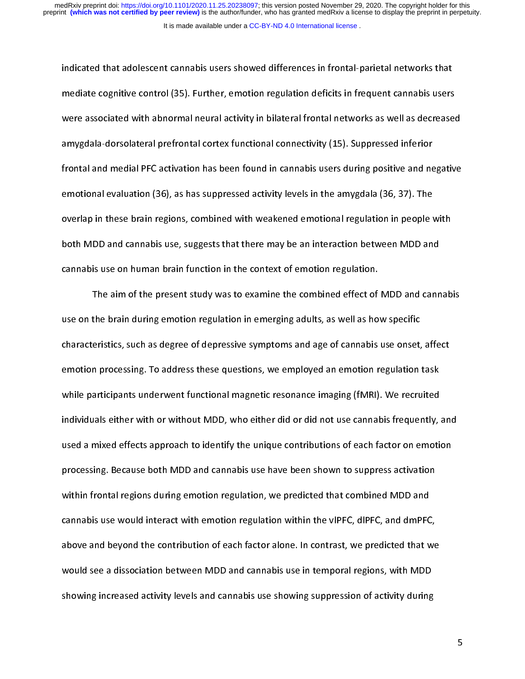indicated that adolescent cannabis users showed differences in frontal-parietal networks that mediate cognitive control (35). Further, emotion regulation deficits in frequent cannabis users<br>were associated with abnormal neural activity in bilateral frontal networks as well as decrease<br>amygdala-dorsolateral prefront were associated with abnormal neural activity in bilateral frontal networks as well as decreased<br>amygdala-dorsolateral prefrontal cortex functional connectivity (15). Suppressed inferior<br>frontal and medial PFC activation h amygdala-dorsolateral prefrontal cortex functional connectivity (15). Suppressed inferior<br>frontal and medial PFC activation has been found in cannabis users during positive and negative<br>emotional evaluation (36), as has su amygdala-dorsolateral prefrontal cortex functional connectivity (15). Suppressed inferior<br>frontal and medial PFC activation has been found in cannabis users during positive and negative<br>emotional evaluation (36), as has su from a medial resolution (36), as has suppressed activity levels in the amygdala (36, 37). The<br>overlap in these brain regions, combined with weakened emotional regulation in people with<br>both MDD and cannabis use, suggests emotional evaluation (36), as has suppressed activity levels in the amygodia (36), 37). The<br>overlap in these brain regions, combined with weakened emotional regulation in people \<br>both MDD and cannabis use, suggests that t both MDD and cannabis use, suggests that there may be an interaction between MDD and<br>cannabis use on human brain function in the context of emotion regulation.<br>The aim of the present study was to examine the combined effec

both MDD and cannabis use on human brain function in the context of emotion regulation.<br>The aim of the present study was to examine the combined effect of MDD and cann<br>use on the brain during emotion regulation in emerging The aim of the present study was to examine the combined effect of<br>use on the brain during emotion regulation in emerging adults, as well as hot<br>characteristics, such as degree of depressive symptoms and age of cannabis<br>em the brain during emotion regulation in emerging adults, as well as how specific<br>eristics, such as degree of depressive symptoms and age of cannabis use onset, affect<br>n processing. To address these questions, we employed an use on the brain adung emotion regulation is emerging adults, as item as in epocation<br>characteristics, such as degree of depressive symptoms and age of cannabis use onset,<br>emotion processing. To address these questions, we emotion processing. To address these questions, we employed an emotion regulation task<br>while participants underwent functional magnetic resonance imaging (fMRI). We recruited<br>individuals either with or without MDD, who eit while participants underwent functional magnetic resonance imaging (fMRI). We recruited<br>individuals either with or without MDD, who either did or did not use cannabis frequently,<br>used a mixed effects approach to identify t individuals either with or without MDD, who either did or did not use cannabis frequently, and individuals either with or without MDD, who either did or did not use cannabis frequently, and used a mixed effects approach to individuals a mixed effects approach to identify the unique contributions of each factor on emotion<br>processing. Because both MDD and cannabis use have been shown to suppress activation<br>within frontal regions during emotion processing. Because both MDD and cannabis use have been shown to suppress activation<br>within frontal regions during emotion regulation, we predicted that combined MDD and<br>cannabis use would interact with emotion regulation provided in frontal regions during emotion regulation, we predicted that combined MDD and<br>cannabis use would interact with emotion regulation within the vIPFC, dIPFC, and dmPFC,<br>above and beyond the contribution of each fa cannabis use would interact with emotion regulation within the vIPFC, dIPFC, and dmPFC<br>above and beyond the contribution of each factor alone. In contrast, we predicted that w<br>would see a dissociation between MDD and canna above and beyond the contribution of each factor alone. In contrast, we predicted that we<br>would see a dissociation between MDD and cannabis use in temporal regions, with MDD<br>showing increased activity levels and cannabis u would see a dissociation between MDD and cannabis use in temporal regions, with MDD<br>showing increased activity levels and cannabis use showing suppression of activity during<br>that we predict we predicted that we predict wit would be an extended activity levels and cannabis use showing suppression of activity during<br>showing increased activity levels and cannabis use showing suppression of activity during showing increased activity levels and cannabis use showing suppression of activity during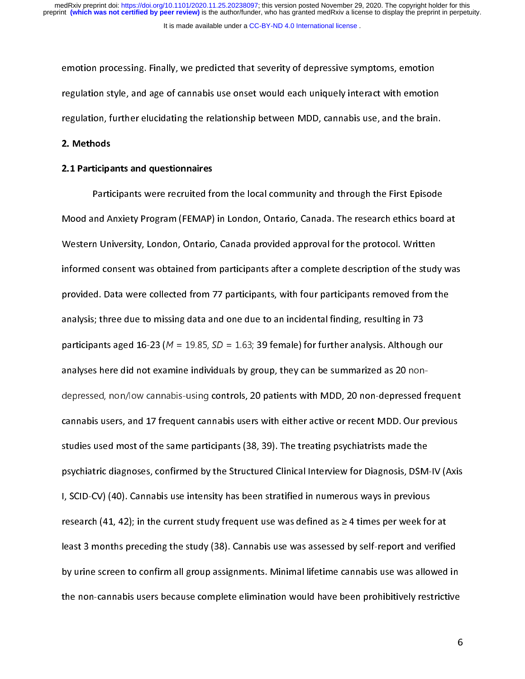emotion processing. Finally, we predicted that severity of depressive symptoms, emotion regulation style, and age of cannabis use onset would each uniquely interact with emotion<br>regulation, further elucidating the relationship between MDD, cannabis use, and the brain<br>2. Methods<br>2.1 Participants and questionna regulation, further elucidating the relationship between MDD, cannabis use, and the brain.<br>2. Methods<br>2.1 Participants and questionnaires<br>Participants were recruited from the local community and through the First Episode

2. Methods

# 2.1 Participants and questionnaires

regulation, further electronic grad technically between MDL, cannabis use, and the brain.<br>2.1 Participants and questionnaires<br>Participants were recruited from the local community and through the First Episode<br>Mood and Anxi Participants were recruited from the local community and through the last Episode<br>Ind Anxiety Program (FEMAP) in London, Ontario, Canada. The research ethics board<br>In University, London, Ontario, Canada provided approval f Western University, London, Ontario, Canada provided approval for the protocol. Written<br>informed consent was obtained from participants after a complete description of the study was<br>provided. Data were collected from 77 pa Informed consent was obtained from participants after a complete description of the student provided. Data were collected from 77 participants, with four participants removed from to analysis; three due to missing data an provided. Data were collected from 77 participants, with four participants removed from the<br>analysis; three due to missing data and one due to an incidental finding, resulting in 73<br>participants aged 16-23 ( $M = 19.85$ ,  $SD$ analysis; three due to missing data and one due to an incidental finding, resulting in 73<br>participants aged 16-23 ( $M = 19.85$ ,  $SD = 1.63$ ; 39 female) for further analysis. Although our<br>analyses here did not examine individ participants aged 16-23 ( $M = 19.85$ ,  $SD = 1.63$ ; 39 female) for further analysis. Although<br>analyses here did not examine individuals by group, they can be summarized as 20 non-<br>depressed, non/low cannabis-using controls, 2 participants aged 16-23 (M examine individuals by group, they can be summarized as 20 non-<br>analyses here did not examine individuals by group, they can be summarized as 20 non-<br>depressed, non/low cannabis-using controls, 2 psychiatric diagnoses, confirmed by the Structured Clinical Interview for Diagnosis, DSM<br>I, SCID-CV) (40). Cannabis use intensity has been stratified in numerous ways in previous<br>research (41, 42); in the current study fre represent and a massed massed massed in the set of the same participants (38, 39). The treating psychiatrists made the<br>psychiatric diagnoses, confirmed by the Structured Clinical Interview for Diagnosis, DSM-IV (Axis<br>J, SC studies used most of the same participants (38, 39). The treating psychiatrists made the<br>psychiatric diagnoses, confirmed by the Structured Clinical Interview for Diagnosis, DSM-IV (Axis<br>I, SCID-CV) (40). Cannabis use int studies used most of the same participants (39, 39). The treating psychiatric made the<br>psychiatric diagnoses, confirmed by the Structured Clinical Interview for Diagnosis, DSM:<br>I, SCID-CV) (40). Cannabis use intensity has psych (40). Cannabis use intensity has been stratified in numerous ways in previous<br>research (41, 42); in the current study frequent use was defined as  $\geq 4$  times per week for at<br>least 3 months preceding the study (38) I, SCID-CV) (14). Cannot are intensity interested and annually are very compreseded.<br>Interesting the current study (38). Cannabis use was assessed by self-report and ve<br>by urine screen to confirm all group assignments. Mi research (41, 42); in the study of the study (38). Cannabis use was assessed by self-report and verifies<br>by urine screen to confirm all group assignments. Minimal lifetime cannabis use was allowed<br>the non-cannabis users be by urine screen to confirm all group assignments. Minimal lifetime cannabis use was allowed in<br>the non-cannabis users because complete elimination would have been prohibitively restrictive<br>the non-cannabis users because co by the screen to confirm all groups of the confirm all groups. We also determine the non-cannabis users because complete elimination would have been prohibitively restrictive<br>  $\epsilon$ the non-cannabis users because complete elimination would have been prohibitively restrictive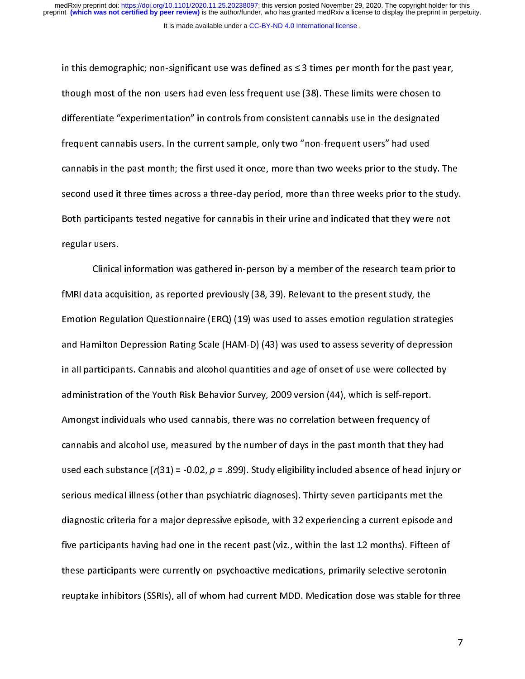in this demographic: non-significant use was defined as  $\leq$  3 times per month for the past year. in though most of the non-users had even less frequent use (38). These limits were chosen to<br>differentiate "experimentation" in controls from consistent cannabis use in the designated<br>frequent cannabis users. In the curren differentiate "experimentation" in controls from consistent cannabis use in the designated<br>frequent cannabis users. In the current sample, only two "non-frequent users" had used<br>cannabis in the past month; the first used i differentiate the state of the current sample, only two "non-frequent users" had used<br>cannabis in the past month; the first used it once, more than two weeks prior to the study.<br>second used it three times across a three-da Frequent cannabis in the past month; the first used it once, more than two weeks prior to the stud<br>second used it three times across a three-day period, more than three weeks prior to the<br>Both participants tested negative cannabis in the past month; the months in the first used it once, more than three weeks prior to the study.<br>Both participants tested negative for cannabis in their urine and indicated that they were not<br>regular users.<br>Clin Both participants tested negative for cannabis in their urine and indicated that they were not<br>regular users.<br>Clinical information was gathered in-person by a member of the research team prior to<br>fMRI data acquisition, as

regular users.<br>
Clinical information was gathered in-person by a member of the research team prior to<br>
fMRI data acquisition, as reported previously (38, 39). Relevant to the present study, the<br>
Emotion Regulation Ouestion regular accreases<br>Clinical<br>fMRI data acq<br>Emotion Regu<br>and Hamilton The acquisition, as reported previously (38, 39). Relevant to the present study, the<br>In Regulation Questionnaire (ERQ) (19) was used to asses emotion regulation strategies<br>Milton Depression Rating Scale (HAM-D) (43) was us Emotion Regulation Questionnaire (ERQ) (19) was used to asses emotion regulation strate<br>and Hamilton Depression Rating Scale (HAM-D) (43) was used to assess severity of depres<br>in all participants. Cannabis and alcohol qua Emotion Regulation Regulation (ERQ) (19) was used to assess severity of depression<br>and Hamilton Depression Rating Scale (HAM-D) (43) was used to assess severity of depression<br>in all participants. Cannabis and alcohol quant in all participants. Cannabis and alcohol quantities and age of onset of use were collected by<br>administration of the Youth Risk Behavior Survey, 2009 version (44), which is self-report.<br>Amongst individuals who used cannabi administration of the Youth Risk Behavior Survey, 2009 version (44), which is self-report.<br>Amongst individuals who used cannabis, there was no correlation between frequency of<br>cannabis and alcohol use, measured by the num Amongst individuals who used cannabis, there was no correlation between frequency of<br>cannabis and alcohol use, measured by the number of days in the past month that they h<br>used each substance (r(31) = -0.02, p = .899). Stu cannabis and alcohol use, measured by the number of days in the past month that they h<br>used each substance  $(r(31) = -0.02, p = .899)$ . Study eligibility included absence of head in<br>serious medical illness (other than psychiatr cannable and alcohol use, measured by  $\mu$  is manifested by the past month that they had<br>used each substance  $(r(31) = -0.02, p = .899)$ . Study eligibility included absence of head injury<br>serious medical illness (other than psy used each substance (r(31) = -0.02, p = .039). Study eligibility included absence of head injury or<br>serious medical illness (other than psychiatric diagnoses). Thirty-seven participants met the<br>diagnostic criteria for a ma diagnostic criteria for a major depressive episode, with 32 experiencing a current episode an<br>five participants having had one in the recent past (viz., within the last 12 months). Fifteen o<br>these participants were current dive participants having had one in the recent past (viz., within the last 12 months). Fifteen of<br>these participants were currently on psychoactive medications, primarily selective serotonin<br>reuptake inhibitors (SSRIs), al these participants were currently on psychoactive medications, primarily selective serotonin<br>reuptake inhibitors (SSRIs), all of whom had current MDD. Medication dose was stable for three<br>transies in the last 12 months of these participants were currently on psychoactive measurities, primarily selective current medications, primari<br>reuptake inhibitors (SSRIs), all of whom had current MDD. Medication dose was stable for thr<br>. reuptake inhibitors (SSRIs), all of whom had current MDD. Medication dose was stable for the  $\frac{1}{\sqrt{2}}$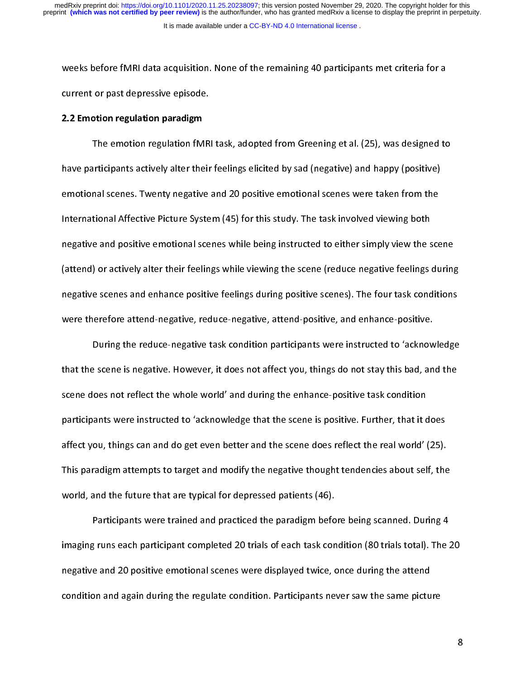It is made available under a [CC-BY-ND 4.0 International license](http://creativecommons.org/licenses/by-nd/4.0/) . preprint **(which was not certified by peer review)** is the author/funder, who has granted medRxiv a license to display the preprint in perpetuity. medRxiv preprint doi: [https://doi.org/10.1101/2020.11.25.20238097;](https://doi.org/10.1101/2020.11.25.20238097) this version posted November 29, 2020. The copyright holder for this

# 2.2 Emotion regulation paradigm

current or past depressive episode.<br>
2.2 Emotion regulation paradigm<br>
The emotion regulation fMRI task, adopted from Greening et al. (25), was designed to<br>
have participants actively alter their feelings elicited by sad (n 2.2 Emotion regulation paradigm<br>The emotion regulation fMR<br>have participants actively alter their<br>emotional scenes. Twenty negative The emotion of the emotional scenes and happy (positive)<br>The emotion regulation of the proof of the scenes were taken from the<br>tional Affective Picture System (45) for this study. The task involved viewing both<br>the and pos have participants actively alter their feelings entities by sad (negative) and imply (positive)<br>emotional scenes. Twenty negative and 20 positive emotional scenes were taken from the<br>International Affective Picture System emontrance change and scenes. The set of positive and standard content in the motion of the set of the megative and positive emotional scenes while being instructed to either simply view the scenes (attend) or actively alt Internative and positive emotional scenes while being instructed to either simply view the s<br>(attend) or actively alter their feelings while viewing the scene (reduce negative feelings<br>negative scenes and enhance positive (attend) or actively alter their feelings while viewing the scene (reduce negative feelings during<br>negative scenes and enhance positive feelings during positive scenes). The four task conditions<br>were therefore attend-negat (attend) or active scenes and enhance positive feelings during positive scenes). The four task conditions<br>were therefore attend-negative, reduce-negative, attend-positive, and enhance-positive.<br>During the reduce-negative t

negative scenes therefore attend-negative, reduce-negative, attend-positive, and enhance-positive.<br>
During the reduce-negative task condition participants were instructed to 'acknowledge<br>
that the scene is negative. Howeve During the reduce-negative task condition participants were instructed to 'acknow<br>that the scene is negative. However, it does not affect you, things do not stay this bad, an<br>scene does not reflect the whole world' and dur Exercise is negative. However, it does not affect you, things do not stay this bad, and the<br>oes not reflect the whole world' and during the enhance-positive task condition<br>ants were instructed to 'acknowledge that the scen that the scene does not reflect the whole world' and during the enhance-positive task condition<br>participants were instructed to 'acknowledge that the scene is positive. Further, that it does<br>affect you, things can and do g scene does not reflect the whole world' and during the enhance-positive task condition<br>participants were instructed to 'acknowledge that the scene is positive. Further, that it does<br>affect you, things can and do get even b participants were trained and practiced the paradigm scanned, that the scene is positive.<br>This paradigm attempts to target and modify the negative thought tendencies about self, the<br>world, and the future that are typical f affect you, this paradigm attempts to target and modify the negative thought tendencies about self, the<br>world, and the future that are typical for depressed patients (46).<br>Participants were trained and practiced the paradi

This paradigm at the future that are typical for depressed patients (46).<br>
Participants were trained and practiced the paradigm before being scanned. During 4<br>
imaging runs each participant completed 20 trials of each task Participants were trained and practiced the paradigm befort imaging runs each participant completed 20 trials of each task consegative and 20 positive emotional scenes were displayed twice, condition and again during the r Participant were trained and practiced the paradigm before dening scanned and and participant completed 20 trials of each task condition (80 trials total). The 2<br>e and 20 positive emotional scenes were displayed twice, onc inagative and 20 positive emotional scenes were displayed twice, once during the attend<br>condition and again during the regulate condition. Participants never saw the same picture<br>8 negative and 20 positive emotional scenes were analyzed three, once during the attends<br>condition and again during the regulate condition. Participants never saw the same picture<br>ordition and again during the regulate condi condition and again during the regulate condition. Participants never saw the same picture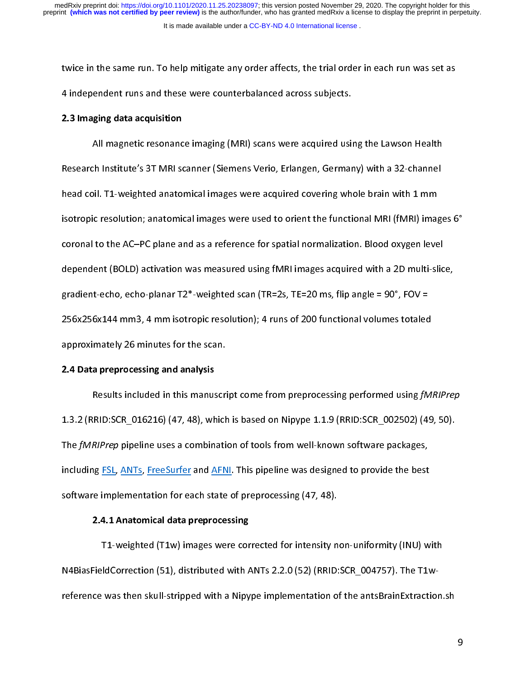It is made available under a [CC-BY-ND 4.0 International license](http://creativecommons.org/licenses/by-nd/4.0/) .

# 2.3 Imaging data acquisition

the same of the same of the same reading and the same and these were counterbalanced across subjects.<br>
2.3 Imaging data acquisition<br>
All magnetic resonance imaging (MRI) scans were acquired using the Lawson Health<br>
Researc 4 2.3 Imaging data acquisition<br>All magnetic resonance imaging (MRI) scans were acquired usin<br>Research Institute's 3T MRI scanner (Siemens Verio, Erlangen, Germar<br>head coil. T1-weighted anatomical images were acquired cover All Institute's 3T MRI scanner (Siemens Verio, Erlangen, Germany) with a 32-channel<br>
All. T1-weighted anatomical images were acquired covering whole brain with 1 mm<br>
ic resolution; anatomical images were used to orient the Research Institute of Channel Collection Care, Scanner, Collection, Theorem is the analysis of the distributed<br>Institute of the Institute of the sister of the functional MRI (fMRI) image<br>Coronal to the AC–PC plane and as a head compic resolution; anatomical images were used to orient the functional MRI (fMRI) images<br>coronal to the AC–PC plane and as a reference for spatial normalization. Blood oxygen leve<br>dependent (BOLD) activation was meas coronal to the AC–PC plane and as a reference for spatial normalization. Blood oxygen level<br>dependent (BOLD) activation was measured using fMRI images acquired with a 2D multi-slice,<br>gradient-echo, echo-planar T2\*-weighte dependent (BOLD) activation was measured using fMRI images acquired with a 2D multi-slic<br>gradient-echo, echo-planar T2\*-weighted scan (TR=2s, TE=20 ms, flip angle = 90°, FOV =<br>256x256x144 mm3, 4 mm isotropic resolution); 4 gradient-echo, echo-planar T2\*-weighted scan (TR=2s, TE=20 ms, flip angle = 90°, FOV =<br>256x256x144 mm3, 4 mm isotropic resolution); 4 runs of 200 functional volumes totaled<br>approximately 26 minutes for the scan.<br>2.4 Data gradient (TRF) and the scan (TRF) and the scan (TRF) and the scan (TRF) approximately 26 minutes for the scan.<br>
2.4 Data preprocessing and analysis<br>
Results included in this manuscript come from preprocessing performed us

## 2.4 Data preprocessing and analysis

25 MM3 MM3 (26 minutes for the scan.<br>2.4 Data preprocessing and analysis<br>Results included in this manuscript come from preprocessing performed using fM.<br>1.3.2 (RRID:SCR\_016216) (47, 48), which is based on Nipype 1.1.9 (RRI approximately 26 minutes for the scan.<br>
2.4 Data preprocessing and analysis<br>
Results included in this manuscript come from preprocessing performed using *fMRIPrep*<br>
1.3.2 (RRID:SCR\_016216) (47, 48), which is based on Nipyp RED:SCR\_016216) (47, 48), which is based on Nipype 1.1.9 (RRID:SCR\_002502) (49, 50).<br>RIPrep pipeline uses a combination of tools from well-known software packages,<br>RIPrep pipeline uses a combination of tools from well-know The *fMRIPrep* pipeline uses a combination of tools from well-known software packages,<br>including <u>FSL, ANTs</u>, FreeSurfer and <u>AFNI</u>. This pipeline was designed to provide the best<br>software implementation for each state of The *JWHIPP* pipeline uses a combination of tools from well-known software packages,<br>including <u>FSL, ANTs</u>, <u>FreeSurfer</u> and <u>AFNI</u>. This pipeline was designed to provide the best<br>software implementation for each state of

# 2.4.1 Anatomical data preprocessing

including Free Surface of Schemes Software implementation for each state of preprocessing (47, 48).<br>
2.4.1 Anatomical data preprocessing<br>
T1-weighted (T1w) images were corrected for intensity non-uniformity (INU) w<br>
N4Bias 2.4.1 Anatomical data preprocessing<br>T1-weighted (T1w) images were corrected for intensity no<br>N4BiasFieldCorrection (51), distributed with ANTs 2.2.0 (52) (RRID:<br>reference was then skull-stripped with a Nipype implementatio FieldCorrection (51), distributed with ANTs 2.2.0 (52) (RRID:SCR\_004757). The T1w-<br>ce was then skull-stripped with a Nipype implementation of the antsBrainExtraction. reference was then skull-stripped with a Nipype implementation of the antisBrainExtraction.<br>BrainExtraction.she and the antisBrainExtraction.she are the antisBrainExtraction.she are the antisBrainExtraction.she are the ant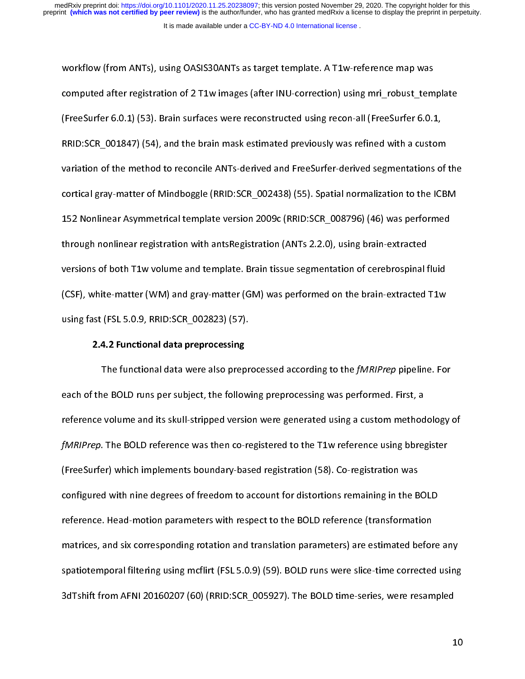computed after registration of 2 T1w images (after INU-correction) using mri\_robust\_tem<br>(FreeSurfer 6.0.1) (53). Brain surfaces were reconstructed using recon-all (FreeSurfer 6.0.1)<br>RRID:SCR\_001847) (54), and the brain mas (FreeSurfer 6.0.1) (53). Brain surfaces were reconstructed using recon-all (FreeSurfer 6.0.1,<br>RRID:SCR\_001847) (54), and the brain mask estimated previously was refined with a custom<br>variation of the method to reconcile A (FreeDuck 2001) (54), and the brain mask estimated previously was refined with a custom<br>RRID:SCR\_001847) (54), and the brain mask estimated previously was refined with a custom<br>Variation of the method to reconcile ANTs-der Variation of the method to reconcile ANTs-derived and FreeSurfer-derived segmentations of<br>cortical gray-matter of Mindboggle (RRID:SCR\_002438) (55). Spatial normalization to the ICB<br>152 Nonlinear Asymmetrical template vers variation of the method to reconcile ANTS-derived and FreeDuck anti-anti-angles and to the ICBM<br>cortical gray-matter of Mindboggle (RRID:SCR\_002438) (55). Spatial normalization to the ICBM<br>152 Nonlinear Asymmetrical templa cortical gray-matter of Mindbox (RRID:SCR\_008796) (46) was performed<br>152 Nonlinear Asymmetrical template version 2009c (RRID:SCR\_008796) (46) was performed<br>through nonlinear registration with antsRegistration (ANTs 2.2.0), 152 Through nonlinear registration with antsRegistration (ANTs 2.2.0), using brain-extracted<br>Versions of both T1w volume and template. Brain tissue segmentation of cerebrospinal fluid<br>(CSF), white-matter (WM) and gray-matt through nonlinear registration with anti-registration (MNTS 2.2.1), using scalar intraction<br>versions of both T1w volume and template. Brain tissue segmentation of cerebrospinal f<br>(CSF), white-matter (WM) and gray-matter (G versions of CSF), white-matter (WM) and gray-matter (GM) was performed on the brain-extracted T1w<br>using fast (FSL 5.0.9, RRID:SCR\_002823) (57).<br>2.4.2 Functional data preprocessing<br>The functional data were also preprocessed

(CSF), which is a set of the SO.1, which is an<br>ing fast (FSL 5.0.9, RRID:SCR\_002823) (57).<br>**2.4.2 Functional data preprocessing**<br>The functional data were also preprocessed according to the *fMRIPrep* pipeline. For<br>each of 2.4.2 Functional data preprocessing<br>The functional data were also prepr<br>each of the BOLD runs per subject, the follow<br>reference volume and its skull-stripped versio 2.4.2 Functional data were also prep<br>The functional data were also prep<br>the BOLD runs per subject, the follov<br>ce volume and its skull-stripped versi<br>20. The BOLD reference was then co-The functional data were also preprocessed according to the *JMRIP* rep pipeline. For<br>the BOLD runs per subject, the following preprocessing was performed. First, a<br>ce volume and its skull-stripped version were generated u each of the BOLD reference was then co-registered to the T1w reference using bbre<br>fMRIPrep. The BOLD reference was then co-registered to the T1w reference using bbre<br>(FreeSurfer) which implements boundary-based registratio fMRIPrep. The BOLD reference was then co-registered to the T1w reference using bbregister<br>(FreeSurfer) which implements boundary-based registration (58). Co-registration was<br>configured with nine degrees of freedom to accou freeSurfer) which implements boundary-based registration (58). Co-registration was<br>Configured with nine degrees of freedom to account for distortions remaining in the BOLD<br>reference. Head-motion parameters with respect to (Free Surfar) configured with nine degrees of freedom to account for distortions remaining in the B<br>
reference. Head-motion parameters with respect to the BOLD reference (transformation<br>
matrices, and six corresponding rot reference. Head-motion parameters with respect to the BOLD reference (transformation<br>matrices, and six corresponding rotation and translation parameters) are estimated before<br>spatiotemporal filtering using mcflirt (FSL 5.0 reference to the anti-net parameters intuiting the BOLD reference (transformation<br>matrices, and six corresponding rotation and translation parameters) are estimated befor<br>spatiotemporal filtering using mcflirt (FSL 5.0.9) spatiotemporal filtering using mcflirt (FSL 5.0.9) (59). BOLD runs were slice-time corrected using<br>3dTshift from AFNI 20160207 (60) (RRID:SCR\_005927). The BOLD time-series, were resampled<br>10 3dTshift from AFNI 20160207 (60) (RRID:SCR\_005927). The BOLD time-series, were resampled<br>10  $\frac{3}{\sqrt{3}}$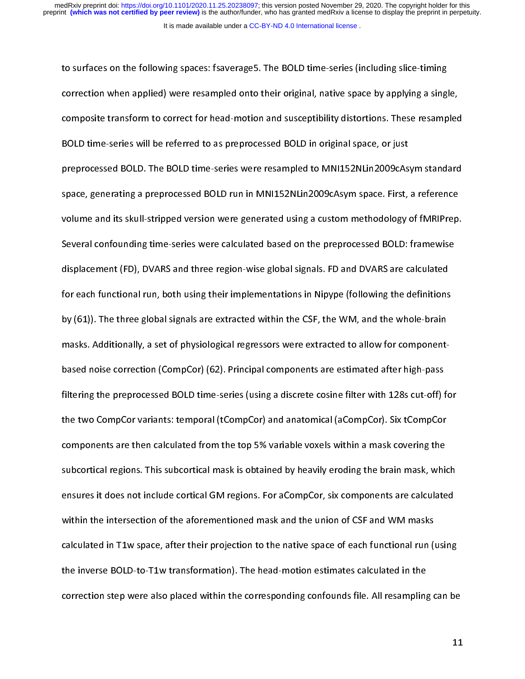to surface on the following correction when applied) were resampled onto their original, native space by applying a singl<br>to supposite transform to correct for head-motion and susceptibility distortions. These resamp<br>BOLD composite transform to correct for head-motion and susceptibility distortions. These resampled<br>
BOLD time-series will be referred to as preprocessed BOLD in original space, or just<br>
preprocessed BOLD. The BOLD time-series composite transform to correct for transformation and susceptions, accretions that complete<br>BOLD time-series will be referred to as preprocessed BOLD in original space, or just<br>preprocessed BOLD. The BOLD time-series were preprocessed BOLD. The BOLD time-series were resampled to MNI152NLin2009cAs<br>space, generating a preprocessed BOLD run in MNI152NLin2009cAsym space. First,<br>volume and its skull-stripped version were generated using a custom preprocessed BOLD run in MNI152NLin2009cAsym space. First, a reference<br>volume and its skull-stripped version were generated using a custom methodology of fMRIPrep.<br>Several confounding time-series were calculated based on t space, generating a preprocessed and in Manuel Sciences varying pace. They are served.<br>Nolume and its skull-stripped version were generated using a custom methodology of fMRIPrep.<br>Several confounding time-series were calcu Several confounding time-series were calculated based on the preprocessed BOLD: framewise<br>displacement (FD), DVARS and three region-wise global signals. FD and DVARS are calculated<br>for each functional run, both using their SEVER CONFOURDED THE TRED MEDISION SERIES WAT PREPRETENT THE PROMOTIONS AND DUST DISPLACEMENT OF ASSEM DISPLACEMENT OF A SERIES AND FOR THE PROPERTIES AND FOR THE PROPERTIES AND FOR THE PROPERTIES AND FOR THE PROPERTIES AN for each functional run, both using their implementations in Nipype (following the definitions<br>by (61)). The three global signals are extracted within the CSF, the WM, and the whole-brain<br>masks. Additionally, a set of phys for each functional run, both in the USF, the WM, and the whole-brain<br>masks. Additionally, a set of physiological regressors were extracted to allow for component-<br>based noise correction (CompCor) (62). Principal component by (62)). We three generalignations intracted minimized with the CSF, the three distributed and<br>masks. Additionally, a set of physiological regressors were extracted to allow for component-<br>based noise correction (CompCor) components are then calculated from the top 5% variable voxels within a mask covering the filtering the preprocessed BOLD time-series (using a discrete cosine filter with 128s cut-off) f<br>the two CompCor variants: temporal (tCompCor) and anatomical (aCompCor). Six tCompCor<br>components are then calculated from the filtering the prepresences are taken actives (using a there is a discrete components and  $\mu_1$ ).<br>The two CompCor variants: temporal (tCompCor) and anatomical (aCompCor). Six tCompCor<br>components are then calculated from th the two Components are then calculated from the top 5% variable voxels within a mask covering the<br>subcortical regions. This subcortical mask is obtained by heavily eroding the brain mask, which<br>ensures it does not include subcortical regions. This subcortical mask is obtained by heavily eroding the brain mask, whice<br>nsures it does not include cortical GM regions. For aCompCor, six components are calculate<br>within the intersection of the afor ensures it does not include cortical GM regions. For aCompCor, six components are calculated<br>within the intersection of the aforementioned mask and the union of CSF and WM masks<br>calculated in T1w space, after their project within the intersection of the aforementioned mask and the union of CSF and WM masks<br>calculated in T1w space, after their projection to the native space of each functional run (using<br>the inverse BOLD-to-T1w transformation) calculated in T1w space, after their projection to the native space of each functional run (if<br>the inverse BOLD-to-T1w transformation). The head-motion estimates calculated in the<br>correction step were also placed within th the inverse BOLD-to-T1w transformation). The head-motion estimates calculated in the<br>correction step were also placed within the corresponding confounds file. All resampling can be<br>1 the inverse BOLD-to-T2. The interchangle, the head-motion estimates calculated in the<br>correction step were also placed within the corresponding confounds file. All resampling<br>the sampling  $c$  also placed within the corresponding conformation file. All results for  $\alpha$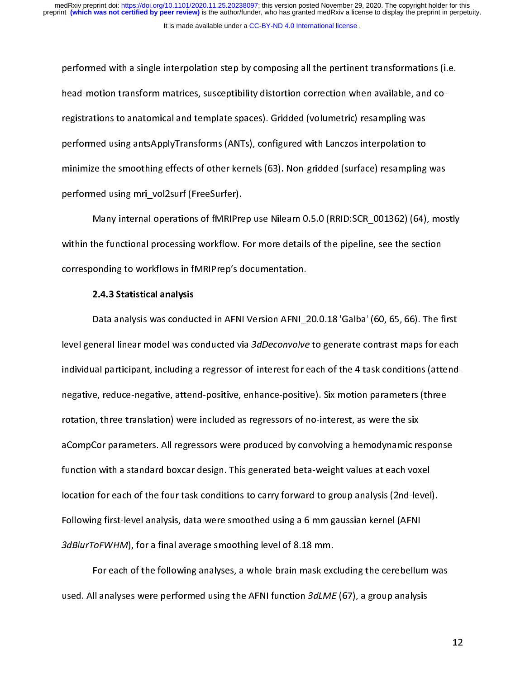performed with a single interpolation step by composing all the pertinent transformations (i.e. performed transform matrices, susceptibility distortion correction when available, and co-<br>registrations to anatomical and template spaces). Gridded (volumetric) resampling was<br>performed using antsApplyTransforms (ANTs), c registrations to anatomical and template spaces). Criticial (criticial and templation to<br>performed using antsApplyTransforms (ANTs), configured with Lanczos interpolation to<br>minimize the smoothing effects of other kernels performed using mri\_vol2surf (FreeSurfer).<br>
performed using mri\_vol2surf (FreeSurfer).<br>
Many internal operations of fMRIPrep use Nilearn 0.5.0 (RRID:SCR\_001362) (64),<br>
within the functional processing workflow. For more de performed using mri vol2surf (FreeSurfer).

minimize the smoothing shooth of other kernels (63). Then gridded (surface) resampling was<br>performed using mri\_vol2surf (FreeSurfer).<br>Many internal operations of fMRIPrep use Nilearn 0.5.0 (RRID:SCR\_001362) (64), mos<br>withi Many internal operations of fMRIPre<br>within the functional processing workflow. I<br>corresponding to workflows in fMRIPrep's d<br>2.4.3 Statistical analysis Many internal processing workflow. For more details of the pipeline, see the section<br>
onding to workflows in fMRIPrep's documentation.<br>
2.4.3 Statistical analysis<br>
Data analysis was conducted in AFNI Version AFNI 20.0.18 '

## 2.4.3 Statistical analysis

corresponding to workflows in fMRIPrep's documentation.<br>2.4.3 Statistical analysis<br>Data analysis was conducted in AFNI Version AFNI\_20.0.18 'Galba' (60, 65, 66). The f<br>level general linear model was conducted via 3dDeconvo 2.4.3 Statistical analysis<br>Data analysis was conducted in AFNI Version AFNI\_2<br>|evel general linear model was conducted via 3*dDeconvolve*<br>|individual narticinant. including a regressor-of-interest for e Data analysis was conducted in AFNI Version AFNI\_20.0.18 'Galba' (60, 65, 66). The first<br>neral linear model was conducted via 3*dDeconvolve* to generate contrast maps for each<br>al participant, including a regressor-of-inter individual participant, including a regressor-of-interest for each of the 4 task conditions (attend-<br>individual participant, including a regressor-of-interest for each of the 4 task conditions (attend-<br>negative, reduce-neg function with a standard boxcar design. This generated beta-weight values at each voxel negative, reader ingulary, and in positive, attaining positive, cannoting parameters (three<br>rotation, three translation) were included as regressors of no-interest, as were the six<br>aCompCor parameters. All regressors were aCompCor parameters. All regressors were produced by convolving a hemodynamic re<br>function with a standard boxcar design. This generated beta-weight values at each vox<br>location for each of the four task conditions to carry acompose, parameters wandy survey manuscantly convolving a hemodynamic response<br>function with a standard boxcar design. This generated beta-weight values at each voxel<br>location for each of the four task conditions to carry function for each of the four task conditions to carry forward to group analysis (2nd-level<br>Following first-level analysis, data were smoothed using a 6 mm gaussian kernel (AFNI<br>3dBlurToFWHM), for a final average smoothing Following first-level analysis, data were smoothed using a 6 mm gaussian kernel (AFNI<br>
3dBlurToFWHM), for a final average smoothing level of 8.18 mm.<br>
For each of the following analyses, a whole-brain mask excluding the c

Following first-level analysis, data were entitled analysis of analysis and distributed using distributed analysis, a whole-brain mask excluding the cerebelluried.<br>For each of the following analyses, a whole-brain mask exc 5dBlurToFWHM), for a final average smoothing level of 8.18 mm.<br>For each of the following analyses, a whole-brain mask excepts.<br>used. All analyses were performed using the AFNI function 3dLME For each of the following analyses, a multi-brain mask excluding the Cerebellum was<br>Il analyses were performed using the AFNI function  $3dLME$  (67), a group analysis used. All analyses were performed using the AFNI function 3dLME (67), a group analysis

12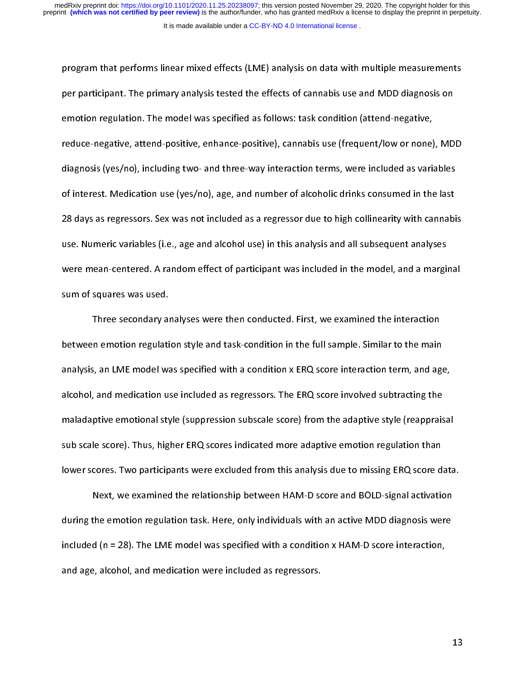program that performs linear mixed effects (LME) analysis on data with multiple measurements per participant. The primary analysis tested the effects of cannabis use and MDD diagnosis on<br>emotion regulation. The model was specified as follows: task condition (attend-negative,<br>reduce-negative, attend-positive, enhan per participant. The model was specified as follows: task condition (attend-negative,<br>reduce-negative, attend-positive, enhance-positive), cannabis use (frequent/low or none), MD<br>diagnosis (yes/no), including two- and thre entenancy galaxies in the model was specified as the model was section (attend-negative)<br>reduce-negative, attend-positive, enhance-positive), cannabis use (frequent/low or none)<br>diagnosis (yes/no), including two- and three reduce-negative, and three-way interaction terms, were included as variables<br>of interest. Medication use (yes/no), age, and number of alcoholic drinks consumed in the last<br>28 days as regressors. Sex was not included as a r of interest. Medication use (yes/no), age, and number of alcoholic drinks consumed in the last<br>28 days as regressors. Sex was not included as a regressor due to high collinearity with cannabi<br>use. Numeric variables (i.e., of interests interest. Medication use (yes), and number of alcoholic annum consumed in the last<br>28 days as regressors. Sex was not included as a regressor due to high collinearity with cannabi<br>use. Numeric variables (i.e., 28 days as a regressor of the same and alcohol use) in this analysis and all subsequent analyses<br>28 were mean-centered. A random effect of participant was included in the model, and a marginal<br>28 sum of squares was used.<br>2 use. Numeric variables (i.e., age and alcohol use, in this analysis and alcohol use, parameters, and a margin<br>sum of squares was used.<br>Three secondary analyses were then conducted. First, we examined the interaction<br>betwee

sum of squares was used.<br>Three secondary analyses were then conducted. First, we examined the interaction<br>between emotion regulation style and task-condition in the full sample. Similar to the main<br>analysis, an LME model w Three secondary an<br>between emotion regulati<br>analysis, an LME model wa<br>alcohol. and medication us The secondary analyses were then conducted they, are shaking interactions<br>in emotion regulation style and task-condition in the full sample. Similar to the main<br>is, an LME model was specified with a condition x ERQ score i analysis, an LME model was specified with a condition x ERQ score interaction term, and age<br>alcohol, and medication use included as regressors. The ERQ score involved subtracting the<br>maladaptive emotional style (suppressio alcohol, and medication use included as regressors. The ERQ score involved subtracting the<br>maladaptive emotional style (suppression subscale score) from the adaptive style (reappraisal<br>sub scale score). Thus, higher ERQ sc alcohol, and medicination use included as regression subscale score) from the adaptive style (reapprais<br>sub scale score). Thus, higher ERQ scores indicated more adaptive emotion regulation than<br>lower scores. Two participan sub scale score). Thus, higher ERQ scores indicated more adaptive emotion regulation than<br>lower scores. Two participants were excluded from this analysis due to missing ERQ score data<br>Next, we examined the relationship bet

sub scale score). Thus, higher ERQ score and Hammark and Lawrence and Bourgalian more indicated more scores. Two participants were excluded from this analysis due to missing ERQ score d<br>Next, we examined the relationship b Next, we examined the relationship between HAM-D score and BOLD-signal activation<br>during the emotion regulation task. Here, only individuals with an active MDD diagnosis were<br>included (n = 28). The LME model was specified The emotion regulation task. Here, only individuals with an active MDD diagnosis were<br>d (n = 28). The LME model was specified with a condition x HAM-D score interaction,<br>e, alcohol, and medication were included as regress and the emotion regulation task. Here, only individuals with an active MDD score interaction,<br>included (n = 28). The LME model was specified with a condition x HAM-D score interaction,<br>and age, alcohol, and medication were and age, alcohol, and medication were included as regressors. and age, alcohol, and medication were included as  $\sigma$ 

13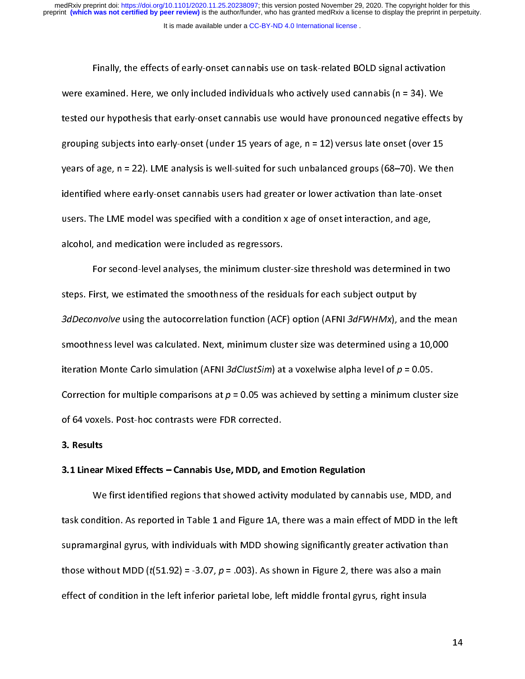#### It is made available under a [CC-BY-ND 4.0 International license](http://creativecommons.org/licenses/by-nd/4.0/) .

Finally, the effects of early-onset cannabis use on task-related BOLD signal activation Finally, the effects of early included individuals who actively used cannabis (n = 34). We<br>bur hypothesis that early-onset cannabis use would have pronounced negative effects<br>g subjects into early-onset (under 15 years of tested our hypothesis that early-onset cannabis use would have pronounced negative effect<br>grouping subjects into early-onset (under 15 years of age, n = 12) versus late onset (over 15<br>years of age, n = 22). LME analysis is ecour the opponent and can, these cannotic are determined pronounced negative entering prouping subjects into early-onset (under 15 years of age, n = 12) versus late onset (over 15 years of age, n = 22). LME analysis is we grouping subjects into early-onset (under 15 years of age, n = 12) versus late onset (over 15<br>years of age, n = 22). LME analysis is well-suited for such unbalanced groups (68–70). We then<br>identified where early-onset cann years or age, n = 22). Line analysis is users had greater or lower activation than late-onset<br>identified where early-onset cannabis users had greater or lower activation than late-onset<br>users. The LME model was specified w in entities where early-onset cannot measure that greater or lower activation minimize chiefs<br>users. The LME model was specified with a condition x age of onset interaction, and age,<br>alcohol, and medication were included a

alcohol, and medication were included as regressors.<br>For second-level analyses, the minimum cluster-size threshold was determined in<br>steps. First, we estimated the smoothness of the residuals for each subject output by<br>3dD For second-level analyses, the minimum cluste<br>steps. First, we estimated the smoothness of the resic<br>3dDeconvolve using the autocorrelation function (ACF<br>smoothness level was calculated. Next. minimum clus For secondary in the smoothness of the residuals for each subject output by<br>
involve using the autocorrelation function (ACF) option (AFNI 3dFWHMx), and the mea<br>
iness level was calculated. Next, minimum cluster size was step. First, and the steps. First, we estimate the step of the step of the smoothness level was calculated. Next, minimum cluster size was determined using a iteration Monte Carlo simulation (AFNI 3*dClustSim*) at a voxel 3dDeconvolve using the autocorrelation function (ACF) option (AFNI 3d7WHMx), and the mean<br>smoothness level was calculated. Next, minimum cluster size was determined using a 10,000<br>iteration Monte Carlo simulation (AFNI 3d iteration Monte Carlo simulation (AFNI 3*dClustSim*) at a voxelwise alpha level of  $p = 0.05$ .<br>Correction for multiple comparisons at  $p = 0.05$  was achieved by setting a minimum cluster si:<br>of 64 voxels. Post-hoc contrasts iteration Monte Carlo simulation (AFMI 3dClustSim) at a voxelwise alpha level of  $p = 0.05$ .<br>Correction for multiple comparisons at  $p = 0.05$  was achieved by setting a minimum cluste<br>of 64 voxels. Post-hoc contrasts were F Correction for multiple comparisons at  $p$  = 0.05 was achieved by setting a minimum cluster size<br>of 64 voxels. Post-hoc contrasts were FDR corrected.<br>3.1 Linear Mixed Effects – Cannabis Use, MDD, and Emotion Regulation<br>We

## 3. Results

#### 3.1 Linear Mixed Effects – Cannabis Use, MDD, and Emotion Regulation

**3. Results<br>3.1 Linear Mixed Effects – Cannabis Use, MDD, and E<br>We first identified regions that showed activit<br>task condition. As reported in Table 1 and Figure 1A. 1** Multion. As reported in Table 1 and Figure 1A, there was a main effect of MDD in the lef<br>arginal gyrus, with individuals with MDD showing significantly greater activation than<br>vithout MDD (t(51.92) = -3.07, p = .003). As supramarginal gyrus, with individuals with MDD showing significantly greater activation than<br>those without MDD ( $t(51.92) = -3.07$ ,  $p = .003$ ). As shown in Figure 2, there was also a main<br>effect of condition in the left infe suppramarginal gyrus, withose without MDD ( $t(51.92) = -3.07$ ,  $p = .003$ ). As shown in Figure 2, there was also a main effect of condition in the left inferior parietal lobe, left middle frontal gyrus, right insula greater o those without MDD (t(51.92) = -3.07, p = .003). As shown in Figure 2, there was also a main<br>effect of condition in the left inferior parietal lobe, left middle frontal gyrus, right insula effect of condition in the left inferior particle in the left inferior particle insulation in the left middle f<br>insulation in the left middle from the left middle from the left middle from the left middle from the left mid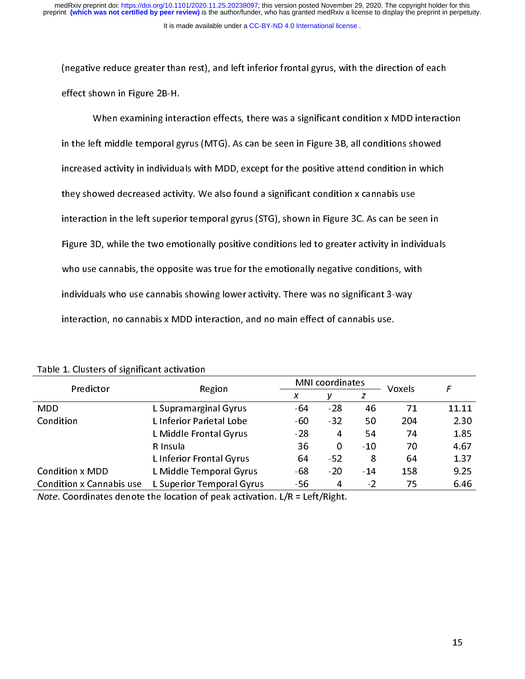effect shown in Figure 2B-H.<br>When examining interaction effects, there was a significant condition x MDD interact<br>in the left middle temporal gyrus (MTG). As can be seen in Figure 3B, all conditions showed<br>increased activi When examining inte<br>in the left middle temporal g<br>increased activity in individua<br>thev showed decreased activ MHT examining interaction enterty, there was a significant conditions showed<br>ed activity in individuals with MDD, except for the positive attend condition in which<br>owed decreased activity. We also found a significant condi increased activity in individuals with MDD, except for the positive attend condition in which<br>they showed decreased activity. We also found a significant condition x cannabis use<br>interaction in the left superior temporal g increased activity. We also found a significant condition x cannabis use<br>interaction in the left superior temporal gyrus (STG), shown in Figure 3C. As can be seen in<br>Figure 3D, while the two emotionally positive conditions they showed activity. We also found a significant condition weaking the<br>interaction in the left superior temporal gyrus (STG), shown in Figure 3C. As can be se<br>Figure 3D, while the two emotionally positive conditions led t Figure 3D, while the two emotionally positive conditions led to greater activity in individual<br>who use cannabis, the opposite was true for the emotionally negative conditions, with<br>individuals who use cannabis showing lowe Figure 22) multe the emotionally period emotionally negative conditions, with<br>who use cannabis, the opposite was true for the emotionally negative conditions, with<br>individuals who use cannabis showing lower activity. There individuals who use cannabis showing lower activity. There was no significant 3-way<br>interaction, no cannabis x MDD interaction, and no main effect of cannabis use.<br>1. Clusters of significant activation interaction, no cannabis x MDD interaction, and no main effect of cannabis use.<br>
1. Clusters of significant activation<br>
Predictor Region MNI coordinates Voxels

| Predictor                       |                                                                                       | <b>MNI</b> coordinates |       |                |        |                  |  |
|---------------------------------|---------------------------------------------------------------------------------------|------------------------|-------|----------------|--------|------------------|--|
|                                 | Region                                                                                | X                      | ν     | z              | Voxels | $\boldsymbol{F}$ |  |
| <b>MDD</b>                      | L Supramarginal Gyrus                                                                 | $-64$                  | $-28$ | 46             | 71     | 11.11            |  |
| Condition                       | L Inferior Parietal Lobe                                                              | $-60$                  | $-32$ | 50             | 204    | 2.30             |  |
|                                 | L Middle Frontal Gyrus                                                                | $-28$                  | 4     | 54             | 74     | 1.85             |  |
|                                 | R Insula                                                                              | 36                     | 0     | $-10$          | 70     | 4.67             |  |
|                                 | L Inferior Frontal Gyrus                                                              | 64                     | $-52$ | 8              | 64     | 1.37             |  |
| <b>Condition x MDD</b>          | L Middle Temporal Gyrus                                                               | -68                    | $-20$ | $-14$          | 158    | 9.25             |  |
| <b>Condition x Cannabis use</b> | L Superior Temporal Gyrus                                                             | -56                    | 4     | $\overline{2}$ | 75     | 6.46             |  |
|                                 | <i>Note.</i> Coordinates denote the location of peak activation. $L/R = Left/Right$ . |                        |       |                |        |                  |  |

Note. Coordinates denote the location of peak activation.  $L/R = \text{Left/Right}$ . Note. Coordinates denote the location of peak activation. L/R = Left/Right.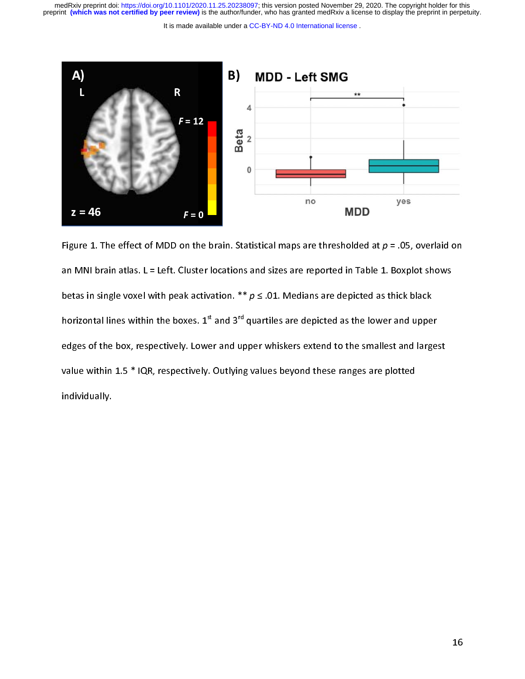medRxiv preprint doi: [https://doi.org/10.1101/2020.11.25.20238097;](https://doi.org/10.1101/2020.11.25.20238097) this version posted November 29, 2020. The copyright holder for this<br>preprint (which was not certified by peer review) is the author/funder, who has grante

It is made available under a [CC-BY-ND 4.0 International license](http://creativecommons.org/licenses/by-nd/4.0/) .



Figure 1. The effect of MDD on the brain. Statistical maps are thresholded at  $p = .05$ , overlaid on<br>an MNI brain atlas. L = Left. Cluster locations and sizes are reported in Table 1. Boxplot shows<br>betas in single voxel wit betas in single voxel with peak activation.  $**$   $p \le .01$ . Medians are depicted as thick black<br>horizontal lines within the boxes. 1<sup>st</sup> and 3<sup>rd</sup> quartiles are depicted as the lower and upper<br>edges of the box, respectively betas in single voxel with peak activation.  $p \le 0.2$ . Medians are depicted as thick black<br>horizontal lines within the boxes. 1<sup>st</sup> and 3<sup>rd</sup> quartiles are depicted as the lower and uppe<br>edges of the box, respectively. Lo horizontal lines within the boxes. 1<sup>st</sup> and 3<sup>rd</sup> quartiles are depicted as the lower and upper<br>edges of the box, respectively. Lower and upper whiskers extend to the smallest and large:<br>value within 1.5 \* IQR, respective edges of the box, respectively. Dutlying values beyond these ranges are plotted individually.<br>
Individually.  $\mathcal{L}$  individually. individually.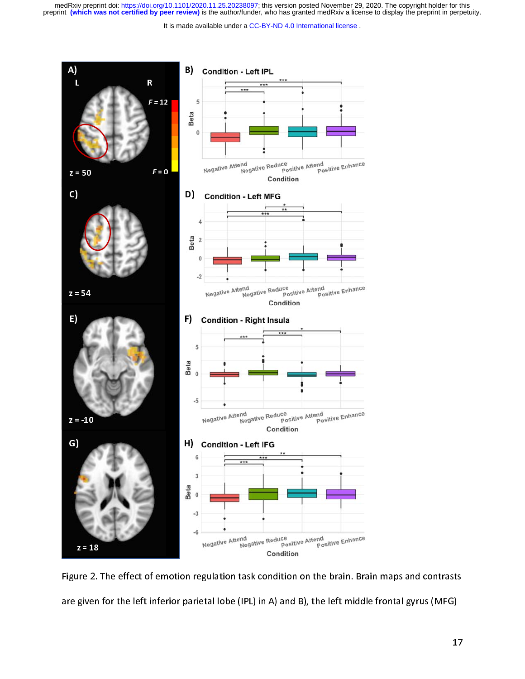medRxiv preprint doi: [https://doi.org/10.1101/2020.11.25.20238097;](https://doi.org/10.1101/2020.11.25.20238097) this version posted November 29, 2020. The copyright holder for this<br>preprint (which was not certified by peer review) is the author/funder, who has grante

It is made available under a [CC-BY-ND 4.0 International license](http://creativecommons.org/licenses/by-nd/4.0/) .



a<br>Il Figure 2. The effect of emotion regulation task condition on the brain. Brain maps and contrasts<br>are given for the left inferior parietal lobe (IPL) in A) and B), the left middle frontal gyrus (MFG)<br>17 are given for the left inferior parity in  $\epsilon$ <sub>)</sub>, the left  $\epsilon$ <sub>)</sub>, the left middle from  $\epsilon$ <sub>)</sub>.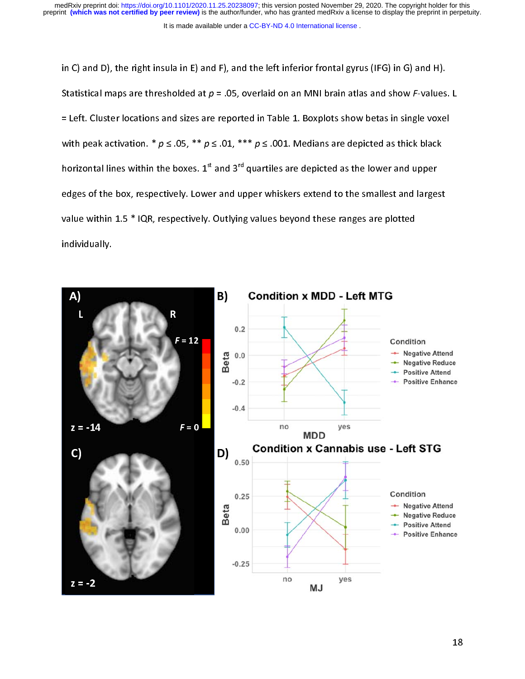It is made available under a [CC-BY-ND 4.0 International license](http://creativecommons.org/licenses/by-nd/4.0/) .

Statistical maps are thresholded at  $p = .05$ , overlaid on an MNI brain atlas and show F-values<br>= Left. Cluster locations and sizes are reported in Table 1. Boxplots show betas in single voxel<br>with peak activation. \*  $p \le .0$ Statistical maps are thresholded at  $p = .05$ , overlaid on an MMI brain atlas and show? Values. L<br>= Left. Cluster locations and sizes are reported in Table 1. Boxplots show betas in single voxel<br>with peak activation. \*  $p \le$ with peak activation.  $* p \le 0.05$ ,  $** p \le 0.01$ ,  $*** p \le 0.001$ . Medians are depicted as thick black<br>horizontal lines within the boxes. 1<sup>st</sup> and 3<sup>rd</sup> quartiles are depicted as the lower and upper<br>edges of the box, respecti with peak activation. \* p ≤ .05, \*\* p ≤ .01, \*\* p ≤ .001. Medians are depicted as thick black<br>horizontal lines within the boxes. 1<sup>st</sup> and 3<sup>rd</sup> quartiles are depicted as the lower and upper<br>edges of the box, respectively horizontal lines within the boxes. 1<sup>st</sup> and 3<sup>rd</sup> quartiles are depicted as the lower and upper<br>edges of the box, respectively. Lower and upper whiskers extend to the smallest and large:<br>value within 1.5 \* IQR, respective edges of the box, respectively. Outlying values beyond these ranges are plotted<br>individually.<br>A R Condition x MDD - Left MTG

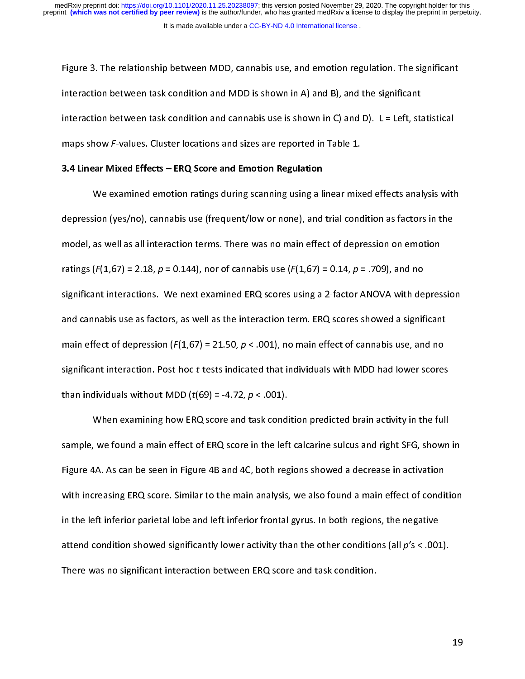interaction between task condition and MDD is shown in A) and B), and the significant<br>interaction between task condition and cannabis use is shown in C) and D). L = Left, statistical<br>maps show F-values. Cluster locations a interaction between task condition and cannabis use is shown in C) and D). L = Left, sta<br>maps show F-values. Cluster locations and sizes are reported in Table 1.<br>3.4 Linear Mixed Effects – ERQ Score and Emotion Regulation<br>

#### 3.4 Linear Mixed Effects – ERQ Score and Emotion Regulation

interaction between task condition and sizes are reported in Table 1.<br> **3.4 Linear Mixed Effects – ERQ Score and Emotion Regulation**<br>
We examined emotion ratings during scanning using a linear mixed effects analysis with<br> maps show F-values. Cluster locations and sizes are reported in Table 1.<br>3.4 Linear Mixed Effects – ERQ Score and Emotion Regulation<br>We examined emotion ratings during scanning using a linear mix<br>depression (yes/no), canna  $W = 200$  examined emotion analysis analysis during a linear mixed emotion as factors in the<br>sion (yes/no), cannabis use (frequent/low or none), and trial condition as factors in the<br>as well as all interaction terms. There model, as well as all interaction terms. There was no main effect of depression on emotion<br>ratings ( $F(1,67) = 2.18$ ,  $p = 0.144$ ), nor of cannabis use ( $F(1,67) = 0.14$ ,  $p = .709$ ), and no<br>significant interactions. We next e ratings ( $F(1,67) = 2.18$ ,  $p = 0.144$ ), nor of cannabis use ( $F(1,67) = 0.14$ ,  $p = .709$ ), and no<br>significant interactions. We next examined ERQ scores using a 2-factor ANOVA with depres<br>and cannabis use as factors, as well ratings (F(1,67) = 2.18,  $p$  = 0.1447), nor of canniable use (F(1,67) = 0.14,  $p$  = .709), and no<br>significant interactions. We next examined ERQ scores using a 2-factor ANOVA with de<br>and cannabis use as factors, as well a and cannabis use as factors, as well as the interaction term. ERQ scores showed a significant<br>main effect of depression ( $F(1,67) = 21.50$ ,  $p < .001$ ), no main effect of cannabis use, and no<br>significant interaction. Post-ho main effect of depression ( $F(1,67) = 21.50$ ,  $p < .001$ ), no main effect of cannabis use, and no<br>significant interaction. Post-hoc *t*-tests indicated that individuals with MDD had lower scores<br>than individuals without MDD main effect of depression (F(1,67) = 21.50,  $p < .001$ ), no main effect of cannabis use, and no<br>significant interaction. Post-hoc *t*-tests indicated that individuals with MDD had lower scores<br>than individuals without MDD (

significant interaction. Post-hoc t-tests indicated that individuals with MDD had lower scores<br>than individuals without MDD ( $t(69) = -4.72$ ,  $p < .001$ ).<br>When examining how ERQ score and task condition predicted brain activi When examining how ERQ score and task condisample, we found a main effect of ERQ score in the left<br>Figure 4A. As can be seen in Figure 4B and 4C, both reg<br>with increasing ERQ score. Similar to the main analysis. we found a main effect of ERQ score in the left calcarine sulcus and right SFG, shown<br>IA. As can be seen in Figure 4B and 4C, both regions showed a decrease in activation<br>IF inferior parietal lobe and left inferior frontal Figure 4A. As can be seen in Figure 4B and 4C, both regions showed a decrease in activation<br>with increasing ERQ score. Similar to the main analysis, we also found a main effect of condition<br>in the left inferior parietal l with increasing ERQ score. Similar to the main analysis, we also found a main effect of condit<br>in the left inferior parietal lobe and left inferior frontal gyrus. In both regions, the negative<br>attend condition showed sign in the left inferior parietal lobe and left inferior frontal gyrus. In both regions, the negative<br>attend condition showed significantly lower activity than the other conditions (all  $p's < .001$ ).<br>There was no significant in in the left inferior particle inferior frontal to the inferior gyrus. In the game attend condition showed significantly lower activity than the other conditions (all  $p's < .001$ ).<br>There was no significant interaction betwee There was no significant interaction between ERQ score and task condition.<br>There was no significant interaction between ERQ score and task condition. There was no significant interaction between ERQ score and task condition.

19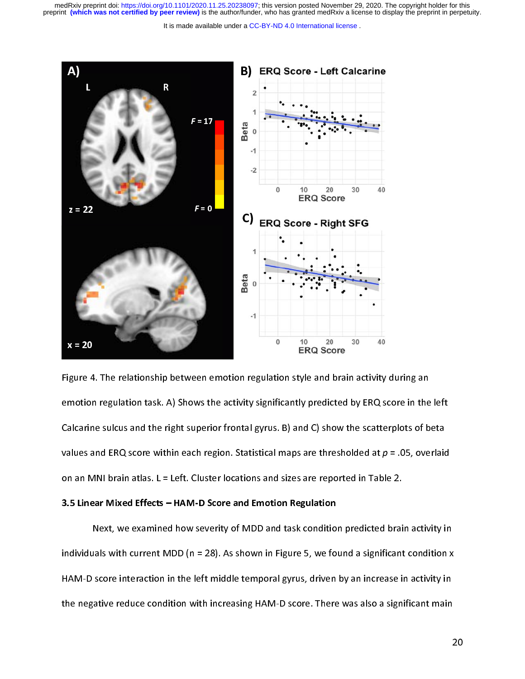It is made available under a [CC-BY-ND 4.0 International license](http://creativecommons.org/licenses/by-nd/4.0/) .



 $\begin{bmatrix} 1 \\ 2 \\ 3 \end{bmatrix}$ Figure 1. The relationship between emotionship products  $\sigma$  parameteristyle and emotion regulation task. A) Shows the activity significantly predicted by ERQ score in the Calcarine sulcus and the right superior frontal g Calcarine sulcus and the right superior frontal gyrus. B) and C) show the scatterplots of beta<br>values and ERQ score within each region. Statistical maps are thresholded at  $p = .05$ , overlaid<br>on an MNI brain atlas. L = Left values and ERQ score within each region. Statistical maps are thresholded at  $p = .05$ , overlaid<br>on an MNI brain atlas. L = Left. Cluster locations and sizes are reported in Table 2.<br>3.5 Linear Mixed Effects – HAM-D Score a

values and ERQ score within each region. Statistical maps are thresholded at  $p = .05$ , overlaid<br>on an MNI brain atlas. L = Left. Cluster locations and sizes are reported in Table 2.<br>3.5 Linear Mixed Effects – HAM-D Score a on 3.5 Linear Mixed Effects – HAM-D Score and Emotion Regulation<br>Next, we examined how severity of MDD and task condition predicted brai<br>individuals with current MDD (n = 28). As shown in Figure 5, we found a significant<br>H S.3 Linear Wixed Lifects – HAM-D Score and Linotion Regulation<br>Next, we examined how severity of MDD and task condition<br>individuals with current MDD (n = 28). As shown in Figure 5, we fo<br>HAM-D score interaction in the left Individuals with current MDD (n = 28). As shown in Figure 5, we found a significant condition x<br>HAM-D score interaction in the left middle temporal gyrus, driven by an increase in activity in<br>the negative reduce condition HAM-D score interaction in the left middle temporal gyrus, driven by an increase in activity in<br>the negative reduce condition with increasing HAM-D score. There was also a significant main<br>2 HAM-D score interaction in the left middle temporal gyrus, driven by an increase in activity in<br>the negative reduce condition with increasing HAM-D score. There was also a significant main the negative reduce condition with increasing HAM-D score. There was also a significant main  $\epsilon$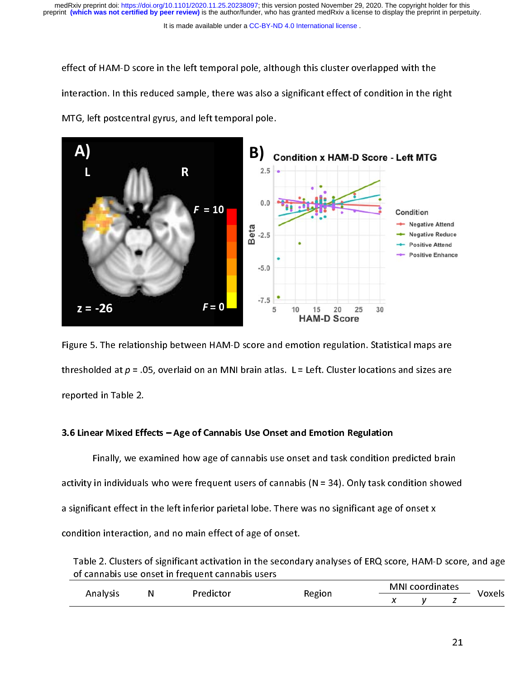#### It is made available under a [CC-BY-ND 4.0 International license](http://creativecommons.org/licenses/by-nd/4.0/) .

effect of condition. In this reduced sample, there was also a significant effect of condition in the ri<br>MTG, left postcentral gyrus, and left temporal pole.<br>**B**<br>Condition x HAM-D Score - Left MTG



thresholded at  $p = .05$ , overlaid on an MNI brain atlas. L = Left. Cluster locations and sizes are<br>reported in Table 2.<br>3.6 Linear Mixed Effects – Age of Cannabis Use Onset and Emotion Regulation thresholded at p – .05, overlaid on an MNI brain atlas. L – Left. Cluster locations and sizes are<br>reported in Table 2.<br>3.6 Linear Mixed Effects – Age of Cannabis Use Onset and Emotion Regulation<br>Finally, we examined how ag

# 3.6 Linear Mixed Effects – Age of Cannabis Use Onset and Emotion Regulation

reported in Table 2.<br>3.6 Linear Mixed Eff<br>Finally, we expactivity in individuals :<br>;<br>;<br>; Finally, activity in individuals who were frequent users of cannabis (N = 34). Only task condition showed<br>a significant effect in the left inferior parietal lobe. There was no significant age of onset x<br>condition interact a significant effect in the left inferior parietal lobe. There was no significant age of onset x<br>condition interaction, and no main effect of age of onset.<br>Table 2. Clusters of significant activation in the secondary analy condition interaction, and no main effect of age of onset.<br>
Table 2. Clusters of significant activation in the secondary analyses of ERQ score, HAM-1<br>
<u>of cannabis use onset in frequent cannabis users</u><br>
Analysis N<br>
Predic

| Analysis | N | Predictor | Region | <b>MNI</b> coordinates |  |    |        |
|----------|---|-----------|--------|------------------------|--|----|--------|
|          |   |           |        | x                      |  | z  | Voxels |
|          |   |           |        |                        |  |    |        |
|          |   |           |        |                        |  |    |        |
|          |   |           |        |                        |  | 21 |        |
|          |   |           |        |                        |  |    |        |
|          |   |           |        |                        |  |    |        |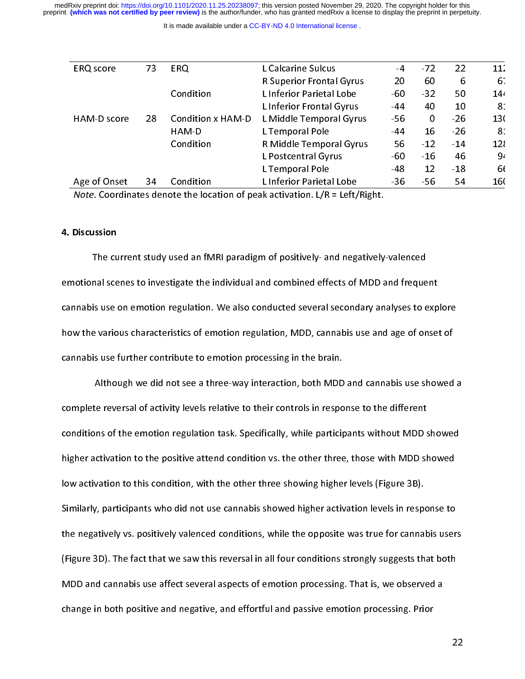medRxiv preprint doi: [https://doi.org/10.1101/2020.11.25.20238097;](https://doi.org/10.1101/2020.11.25.20238097) this version posted November 29, 2020. The copyright holder for this<br>preprint (which was not certified by peer review) is the author/funder, who has grante

It is made available under a [CC-BY-ND 4.0 International license](http://creativecommons.org/licenses/by-nd/4.0/) .

| <b>ERQ</b> score  | 73 | <b>ERQ</b>               | L Calcarine Sulcus                                                                    | -4    | $-72$ | 22    | 11 <sup>2</sup> |
|-------------------|----|--------------------------|---------------------------------------------------------------------------------------|-------|-------|-------|-----------------|
|                   |    |                          | <b>R Superior Frontal Gyrus</b>                                                       | 20    | 60    | 6     | 6.              |
|                   |    | Condition                | L Inferior Parietal Lobe                                                              | -60   | $-32$ | 50    | 14،             |
|                   |    |                          | L Inferior Frontal Gyrus                                                              | -44   | 40    | 10    | 8 <sup>°</sup>  |
| HAM-D score       | 28 | <b>Condition x HAM-D</b> | L Middle Temporal Gyrus                                                               | $-56$ | 0     | $-26$ | 130             |
|                   |    | HAM-D                    | L Temporal Pole                                                                       | -44   | 16    | $-26$ | 8 <sup>°</sup>  |
|                   |    | Condition                | R Middle Temporal Gyrus                                                               | 56    | $-12$ | $-14$ | 12 <sup>5</sup> |
|                   |    |                          | L Postcentral Gyrus                                                                   | -60   | $-16$ | 46    | 9 <sub>4</sub>  |
|                   |    |                          | L Temporal Pole                                                                       | -48   | 12    | $-18$ | 6f              |
| Age of Onset      | 34 | Condition                | L Inferior Parietal Lobe                                                              | $-36$ | $-56$ | 54    | 160             |
|                   |    |                          | <i>Note.</i> Coordinates denote the location of peak activation. $L/R = Left/Right$ . |       |       |       |                 |
|                   |    |                          |                                                                                       |       |       |       |                 |
| <b>Discussion</b> |    |                          |                                                                                       |       |       |       |                 |
|                   |    |                          | The current study used an fMRI paradigm of positively- and pegatively-valenced        |       |       |       |                 |

# 4. Discussion

The current study account in paradigm of positively-and negatively-valenced<br>
In al scenes to investigate the individual and combined effects of MDD and freque<br>
is use on emotion regulation. We also conducted several second emantal scenes to investigate the individual and combined effects of the same inquiries<br>cannabis use on emotion regulation. We also conducted several secondary analyses to exp<br>how the various characteristics of emotion reg how the various characteristics of emotion regulation, MDD, cannabis use and age of onset of<br>cannabis use further contribute to emotion processing in the brain.<br>Although we did not see a three-way interaction, both MDD and Age of Onset 34 Condition LInferior Parietal Lobe -36 -56 54 16(<br>
Note. Coordinates denote the location of peak activation. L/R = Left/Right.<br>
Discussion<br>
The current study used an fMRI paradigm of positively- and negative Note. Coordinates denote the location of peak activation. L/R = Left/Right.<br>Discussion<br>The current study used an fMRI paradigm of positively- and negatively-valenced<br>otional scenes to investigate the individual and combine Note. Coordinates denote the location of peak activation. L/R = Left/Right.<br>Discussion<br>Notional scenes to investigate the individual and combined effects of MDD a<br>Notional scenes to investigate the individual and combined

cannabis use further contribute to emotion processing in the brain.<br>Although we did not see a three-way interaction, both MDD and cannabis use showed<br>complete reversal of activity levels relative to their controls in respo Although we did not see a three-way interaction, both MDD<br>complete reversal of activity levels relative to their controls in respo<br>conditions of the emotion regulation task. Specifically, while particip<br>higher activation t te reversal of activity levels relative to their controls in response to the different<br>pons of the emotion regulation task. Specifically, while participants without MDD showed<br>activation to the positive attend condition vs conditions of the emotion regulation task. Specifically, while participants without MDD s<br>higher activation to the positive attend condition vs. the other three, those with MDD sh<br>low activation to this condition, with the conditions of the emotion regulation tasks operation, the effective participants with MDD showed<br>higher activation to this condition, with the other three showing higher levels (Figure 3B).<br>Similarly, participants who did how activation to this condition, with the other three showing higher levels (Figure 3B).<br>Similarly, participants who did not use cannabis showed higher activation levels in response to<br>the negatively vs. positively valenc Similarly, participants who did not use cannabis showed higher activation levels in responsible negatively vs.<br>The negatively vs. positively valenced conditions, while the opposite was true for canna<br>(Figure 3D). The fact Similarly, participants who did note the negatively vs. positively valenced conditions, while the opposite was true for cannabis user.<br>(Figure 3D). The fact that we saw this reversal in all four conditions strongly suggest (Figure 3D). The fact that we saw this reversal in all four conditions strongly suggests that both<br>MDD and cannabis use affect several aspects of emotion processing. That is, we observed a<br>change in both positive and negat MDD and cannabis use affect several aspects of emotion processing. That is, we observed a<br>change in both positive and negative, and effortful and passive emotion processing. Prior<br>2  $\blacksquare$  . The section of the change in both positive and negative, and effortful and passive emotion processing. Prior change in both positive and negative, and effortful and passive emotion processing. Prior change in both positive and negative, and efforting passive passive emotion processing. Priori<br>In and the processing. Priori in and the passive emotion processing. Priori in and the passive emotion process<br>In any official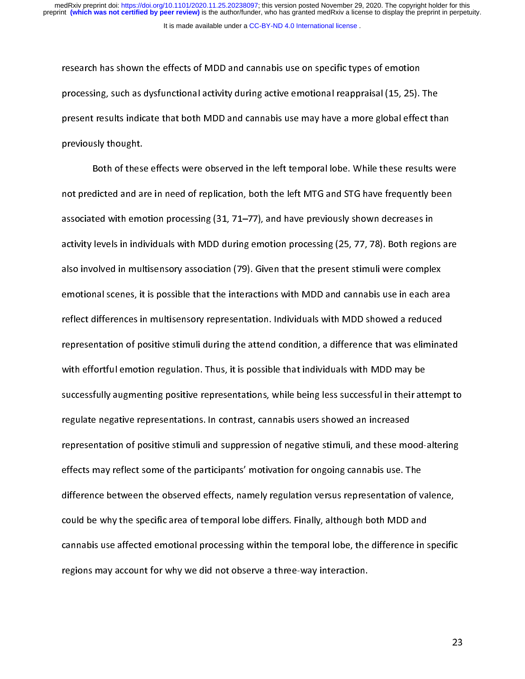research has shown the effects of MDD and cannabis use on specific types of emotion processing, such as dysfunctional activity during active emotional reappraisal (15, 25).<br>present results indicate that both MDD and cannabis use may have a more global effect<br>previously thought.<br>Both of these effects were present results indicate that both MDD and cannabis use may have a more global effect the<br>previously thought.<br>Both of these effects were observed in the left temporal lobe. While these results w<br>not predicted and are in ne

previously thought.<br>Both of these effects were observed in the left temporal lobe. While these results wer<br>not predicted and are in need of replication, both the left MTG and STG have frequently been<br>associated with emotio previously the set of these interestingly and all associated with empartivity levels in india<br>activity levels in india Both of these effects were effected in the left MTG and STG have frequently been<br>dicted and are in need of replication, both the left MTG and STG have frequently been<br>ted with emotion processing (31, 71–77), and have previ not predicted and are in need of replication, both the left MTG and STG have in quality, both the associated with emotion processing (31, 71–77), and have previously shown decreases in<br>activity levels in individuals with M activity levels in individuals with MDD during emotion processing (25, 77, 78). Both region<br>also involved in multisensory association (79). Given that the present stimuli were comple<br>emotional scenes, it is possible that t activity revease in multisensory association (79). Given that the present stimuli were complex<br>emotional scenes, it is possible that the interactions with MDD and cannabis use in each area<br>reflect differences in multisenso emotional scenes, it is possible that the interactions with MDD and cannabis use in each are<br>reflect differences in multisensory representation. Individuals with MDD showed a reduced<br>representation of positive stimuli duri reflect differences in multisensory representation. Individuals with MDD showed a reduced<br>representation of positive stimuli during the attend condition, a difference that was eliminate<br>with effortful emotion regulation. T representation of positive stimuli during the attend condition, a difference that was elimina<br>with effortful emotion regulation. Thus, it is possible that individuals with MDD may be<br>successfully augmenting positive repres with effortful emotion regulation. Thus, it is possible that individuals with MDD may be<br>successfully augmenting positive representations, while being less successful in their attempt to<br>regulate negative representations. successfully augmenting positive representations, while being less successful in their att<br>regulate negative representations. In contrast, cannabis users showed an increased<br>representation of positive stimuli and suppressi successfully angulations, performance, their being decreased an increased representation of positive stimuli and suppression of negative stimuli, and these mood-altering effects may reflect some of the participants' motiva representation of positive stimuli and suppression of negative stimuli, and these mo<br>effects may reflect some of the participants' motivation for ongoing cannabis use. T<br>difference between the observed effects, namely regu representation of periods stimuli and suppresentation for ongoing cannabis use. The<br>effects may reflect some of the participants' motivation for ongoing cannabis use. The<br>difference between the observed effects, namely reg difference between the observed effects, namely regulation versus representation of v<br>could be why the specific area of temporal lobe differs. Finally, although both MDD and<br>cannabis use. affected emotional processing with could be why the specific area of temporal lobe differs. Finally, although both MDD and<br>cannabis use affected emotional processing within the temporal lobe, the difference in specific<br>regions may account for why we did not cannabis use affected emotional processing within the temporal lobe, the difference in s<br>regions may account for why we did not observe a three-way interaction. regions may account for why we did not observe a three-way interaction.<br>23 regions may account for why we did not observe a three-way interaction.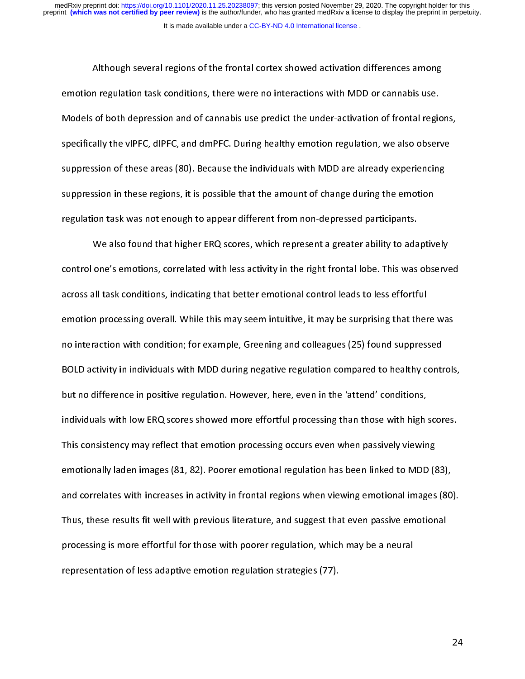Although several regions of the frontal cortex showed activation differences among although several regulation task conditions, there were no interactions with MDD or cannabis use.<br>
Although several of the frontal regionally the vipFC, dipFC, and dmPFC. During healthy emotion regulation, we also observe<br> Models of both depression and of cannabis use predict the under-activation of frontal region<br>specifically the vlPFC, dlPFC, and dmPFC. During healthy emotion regulation, we also obser<br>suppression of these areas (80). Becau Models of the vippersion and of cannotic activation and of activation of the visiting specifically the vipPC, dipPC, and dmPFC. During healthy emotion regulation, we also observe<br>suppression of these areas (80). Because th suppression of these areas (80). Because the individuals with MDD are already experiencing<br>suppression in these regions, it is possible that the amount of change during the emotion<br>regulation task was not enough to appear suppression in these regions, it is possible that the amount of change during the emotion<br>regulation task was not enough to appear different from non-depressed participants.<br>We also found that higher ERQ scores, which repr

suppression in these regions) are persuade that the amount of change during the site in the regulation task was not enough to appear different from non-depressed participants.<br>We also found that higher ERQ scores, which re We also found that higher ERQ scores, which represent a greater ability to ada<br>control one's emotions, correlated with less activity in the right frontal lobe. This was<br>across all task conditions, indicating that better em Merican that his magnetic strategy in that represent a greater ability of state party)<br>one's emotions, correlated with less activity in the right frontal lobe. This was observe<br>all task conditions, indicating that better e across all task conditions, indicating that better emotional control leads to less effortful<br>emotion processing overall. While this may seem intuitive, it may be surprising that there was<br>no interaction with condition; for emotion processing overall. While this may seem intuitive, it may be surprising that ther<br>no interaction with condition; for example, Greening and colleagues (25) found suppres:<br>BOLD activity in individuals with MDD during emotion with condition; for example, Greening and colleagues (25) found suppressed<br>BOLD activity in individuals with MDD during negative regulation compared to healthy controls<br>but no difference in positive regulation. How BOLD activity in individuals with MDD during negative regulation compared to healthy contr<br>but no difference in positive regulation. However, here, even in the 'attend' conditions,<br>individuals with low ERQ scores showed mo BOLD activity in individuals with low ERQ scores showed more effortful processing than those with high scores.<br>Individuals with Iow ERQ scores showed more effortful processing than those with high scores.<br>This consistency but no difference in positive regulation. However, they consider the 'attend' condition,<br>individuals with low ERQ scores showed more effortful processing than those with high<br>This consistency may reflect that emotion proce This consistency may reflect that emotion processing occurs even when passively viewing<br>emotionally laden images (81, 82). Poorer emotional regulation has been linked to MDD (83),<br>and correlates with increases in activity This considering may reflect the simulation processing create to the included to MDD (8<br>And correlates with increases in activity in frontal regions when viewing emotional images<br>Thus, these results fit well with previous and correlates with increases in activity in frontal regions when viewing emotional images (80<br>Thus, these results fit well with previous literature, and suggest that even passive emotional<br>processing is more effortful for Thus, these results fit well with previous literature, and suggest that even passive emotional<br>processing is more effortful for those with poorer regulation, which may be a neural<br>representation of less adaptive emotion r Thus, these results fit with the time previous literature, and suggest that even passive emotional<br>processing is more effortful for those with poorer regulation, which may be a neural<br>representation of less adaptive emotio processes is more effortable for the system of less adaptive emotion regulation strategies (77).<br>
representation of less adaptive emotion regulation strategies (77). representation of less adaptive emotion regulation strategies (77).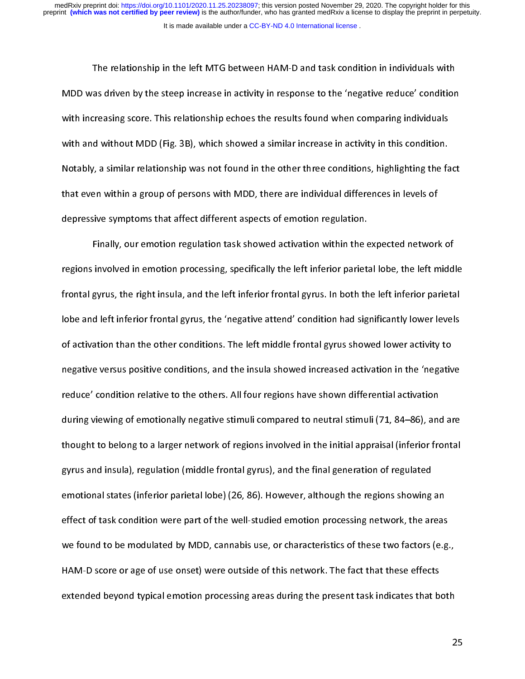The as driven by the steep increase in activity in response to the 'negative reduce' condition<br>The reasing score. This relationship echoes the results found when comparing individuals<br>In individuals the MAM-D (Fig. 3B), wh with increasing score. This relationship echoes the results found when comparing individuals<br>with and without MDD (Fig. 3B), which showed a similar increase in activity in this condition.<br>Notably, a similar relationship wa with and without MDD (Fig. 3B), which showed a similar increase in activity in this condition.<br>Notably, a similar relationship was not found in the other three conditions, highlighting the fa<br>that even within a group of pe with and without MDD (Fig. 3B), which showed a similar increase in activity in this condition.<br>Notably, a similar relationship was not found in the other three conditions, highlighting the fact<br>that even within a group of Notably, a similar relationship was not found in the other three conditions, highlighting are fact<br>that even within a group of persons with MDD, there are individual differences in levels of<br>depressive symptoms that affect

that even within a group of persons with MDD, more are individual differences in levels of<br>depressive symptoms that affect different aspects of emotion regulation.<br>Finally, our emotion regulation task showed activation wit Finally, our emotion regulation task showed activation within the expressions involved in emotion processing, specifically the left inferior parietal<br>frontal gyrus, the right insula, and the left inferior frontal gyrus. In Finally, our emotion processing, specifically the left inferior parietal lobe, the left midd<br>gyrus, the right insula, and the left inferior frontal gyrus. In both the left inferior parieta<br>d left inferior frontal gyrus, th reprintal gyrus, the right insula, and the left inferior frontal gyrus. In both the left inferior parietal<br>lobe and left inferior frontal gyrus, the 'negative attend' condition had significantly lower levels<br>of activation frontal gyrus, the 'negative attend' condition had significantly lower levels<br>of activation than the other conditions. The left middle frontal gyrus showed lower activity to<br>negative versus positive conditions, and the ins of activation than the other conditions. The left middle frontal gyrus showed lower activity to<br>negative versus positive conditions, and the insula showed increased activation in the 'negative<br>reduce' condition relative to of active versus positive conditions, and the insula showed increased activation in the 'negativ<br>reduce' condition relative to the others. All four regions have shown differential activation<br>during viewing of emotionally n negative versus positive versus positive versus and the insular show a differential activation<br>reduce' condition relative to the others. All four regions have shown differential activation<br>during viewing of emotionally neg readed condition relative to the others. All four regions the others. All four relative to the others. All four<br>during viewing of emotionally negative stimuli compared to neutral stimuli (71, 84–86), and<br>thought to belong thought to belong to a larger network of regions involved in the initial appraisal (inferior frontal<br>gyrus and insula), regulation (middle frontal gyrus), and the final generation of regulated<br>emotional states (inferior pa thought to be using to a larger network of regions in the larger number ppendix (in the formal approximated appr<br>gyrus and insula), regulation (middle frontal gyrus), and the final generation of regulated<br>emotional states gyrus and interest and interest and interest and the regions showing<br>effect of task condition were part of the well-studied emotion processing network, the ar<br>we found to be modulated by MDD, cannabis use, or characteristi effect of task condition were part of the well-studied emotion processing network, the areas<br>we found to be modulated by MDD, cannabis use, or characteristics of these two factors (e.g.<br>HAM-D score or age of use onset) wer effect of these tasks condition were part of the well-state a since processing network, the actors (e.g.<br>HAM-D score or age of use onset) were outside of this network. The fact that these effects<br>extended beyond typical em HAM-D score or age of use onset) were outside of this network. The fact that these effects<br>extended beyond typical emotion processing areas during the present task indicates that both<br>2 extended beyond typical emotion processing areas during the present task indicates that be<br>extended beyond typical emotion processing areas during the present task indicates that be extended by the system theorem, and tasking the procession processing the processing the processing task indicates that both  $\frac{1}{2}$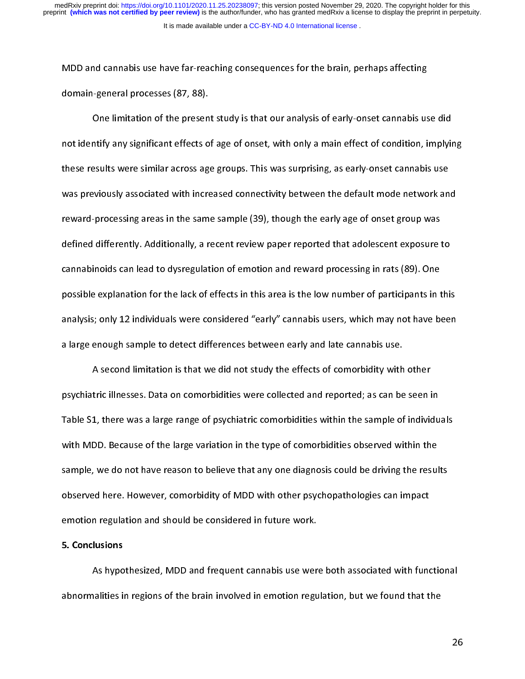Momain-general processes (87, 88).<br>
One limitation of the present study is that our analysis of early-onset cannabis us<br>
not identify any significant effects of age of onset, with only a main effect of condition, i<br>
these One limitation of the presen<br>not identify any significant effects of<br>these results were similar across age<br>was previously associated with incre one inhumation of the present study is that our analysis of early chrematinate are analysis<br>intify any significant effects of age of onset, with only a main effect of condition, implyin<br>esults were similar across age group these results were similar across age groups. This was surprising, as early-onset cannabis use<br>was previously associated with increased connectivity between the default mode network and<br>reward-processing areas in the same these results were similar across  $\sigma_S$  groups. This was energy as early-onset cannot are<br>was previously associated with increased connectivity between the default mode network an<br>reward-processing areas in the same sample was presented with increased connectivity associated with the defined processing areas in the same sample (39), though the early age of onset group was<br>defined differently. Additionally, a recent review paper reported that reward-processing areas in the same sample (39), though the early age of onset group was defined anti-confly. And alternative paper reported that added that added the cannabinoids can lead to dysregulation of emotion and reward processing in rats (89). One<br>possible explanation for the lack of effects in this a possible explanation for the lack of effects in this area is the low number of participants in t<br>analysis; only 12 individuals were considered "early" cannabis users, which may not have be<br>a large enough sample to detect d possible explanation is the lack of early an abis users, which may not have been<br>a large enough sample to detect differences between early and late cannabis use.<br>A second limitation is that we did not study the effects of

a large enough sample to detect differences between early and late cannabis use.<br>A second limitation is that we did not study the effects of comorbidity with other<br>psychiatric illnesses. Data on comorbidities were collecte a large enough sample of the large variation is that we did not study the effects of comorbidity with<br>psychiatric illnesses. Data on comorbidities were collected and reported; as can be<br>Table S1, there was a large range of A second minimitation in that we did not study the effects of computed; as can be seen is<br>1, there was a large range of psychiatric comorbidities within the sample of individ<br>DD. Because of the large variation in the type psychiatric interests some conservation and reported and reported; as can be seen in<br>Table S1, there was a large range of psychiatric comorbidities within the sample of individu<br>with MDD. Because of the large variation in with MDD. Because of the large variation in the type of comorbidities observed within the<br>sample, we do not have reason to believe that any one diagnosis could be driving the results<br>observed here. However, comorbidity of with MDD. Because of the large variation in the type of comorbidities observed within the<br>sample, we do not have reason to believe that any one diagnosis could be driving the results<br>observed here. However, comorbidity of s<br>observed here. However, comorbidity of MDD with other psychopathologies can impact<br>emotion regulation and should be considered in future work.<br>5. Conclusions<br>As hypothesized. MDD and frequent cannabis use were both assoc

# 5. Conclusions

emotion regulation and should be considered in future work.<br>
5. Conclusions<br>
As hypothesized, MDD and frequent cannabis use were both associated with fund<br>
abnormalities in regions of the brain involved in emotion regulati emonting<br>
S. Conclusions<br>
As hypothesized, MDD and frequent cannabis use were<br>
abnormalities in regions of the brain involved in emotion regu As hypothesized, MDD and As quent cannabis use were both associated with functional<br>halities in regions of the brain involved in emotion regulation, but we found that the<br>20 abinormalities in regions of the brain involved in emotion regulation, but we found that the theoretical inter<br>In the brain involved in each of the brain intervals of the brain intervals of the brain intervals of the brain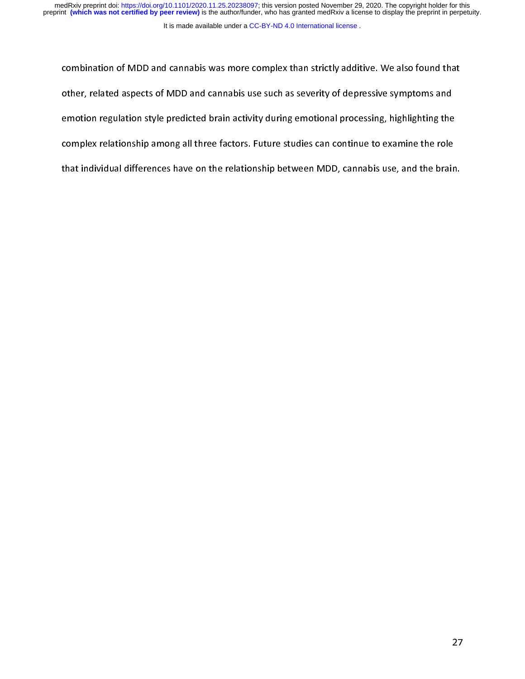medRxiv preprint doi: [https://doi.org/10.1101/2020.11.25.20238097;](https://doi.org/10.1101/2020.11.25.20238097) this version posted November 29, 2020. The copyright holder for this<br>preprint (which was not certified by peer review) is the author/funder, who has grante

#### It is made available under a [CC-BY-ND 4.0 International license](http://creativecommons.org/licenses/by-nd/4.0/) .

other, related aspects of MDD and cannabis use such as severity of depressive symptoms and<br>emotion regulation style predicted brain activity during emotional processing, highlighting the<br>complex relationship among all thre emotion regulation style predicted brain activity during emotional processing, highlighting the<br>complex relationship among all three factors. Future studies can continue to examine the role<br>that individual differences have complex relationship among all three factors. Future studies can continue to examine the role<br>that individual differences have on the relationship between MDD, cannabis use, and the brain<br>that individual differences have o complex relationship between MDD, cannabis use, and the braintinat individual differences have on the relationship between MDD, cannabis use, and the braintinum that individual differences have on the relationship between that individual differences have on the relationship between MDD, cannabis use, and the brain.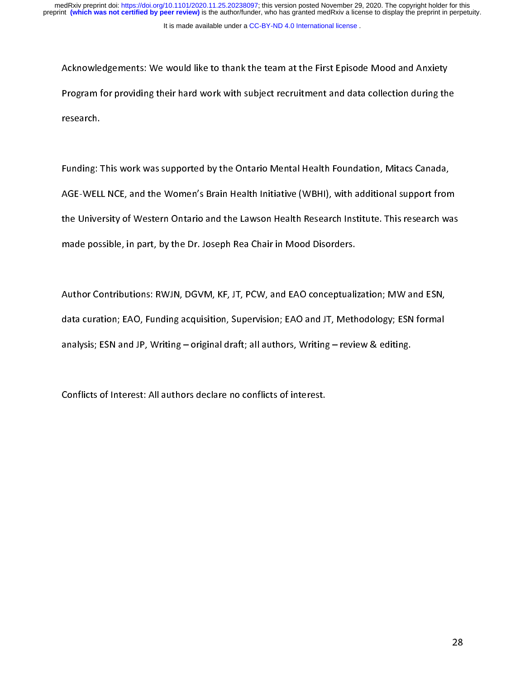Program for providing their hard work with subject recruitment and data collection during the<br>Thesearch.<br>Funding: This work was supported by the Ontario Mental Health Foundation. Mitacs Canada.

Protes arch.<br>Program for providing the Subject research.<br>AGE-WELL NCE, and the Women's Brain Health Initiative (WBHI), with additional support from research.<br>Funding:<br>AGE-WELI<br>the Unive  $\frac{1}{t}$ Funding: This work was supported by the Ontario Mental Health Foundation, minute Canada,<br>AGE-WELL NCE, and the Women's Brain Health Initiative (WBHI), with additional support from<br>the University of Western Ontario and the The University of Western Ontario and the Lawson Health Research Institute. This research was<br>made possible, in part, by the Dr. Joseph Rea Chair in Mood Disorders.<br>Author Contributions: RWJN. DGVM. KF. JT. PCW. and EAO co

made possible, in part, by the Dr. Joseph Rea Chair in Mood Disorders.<br>Author Contributions: RWJN, DGVM, KF, JT, PCW, and EAO conceptualization; MW and ESN,<br>data curation: EAO. Funding acquisition. Supervision: EAO and JT. made possible, in part, by the Dr. Lepters chair in Mood Discussible<br>Author Contributions: RWJN, DGVM, KF, JT, PCW, and EAO conceptuali:<br>data curation; EAO, Funding acquisition, Supervision; EAO and JT, Meth<br>analysis: ESN  $\frac{1}{2}$ data curation; EAO, Funding acquisition, Supervision; EAO and JT, Methodology; ESN formal<br>analysis; ESN and JP, Writing – original draft; all authors, Writing – review & editing.<br>Conflicts of Interest: All authors declare analysis; ESN and JP, Writing – original draft; all authors, Writing – review & editing.<br>Conflicts of Interest: All authors declare no conflicts of interest.

analysis; ESN and JP, Writing 2018, Writing 2019<br>Conflicts of Interest: All authors declare no conflicts of interest.  $\overline{a}$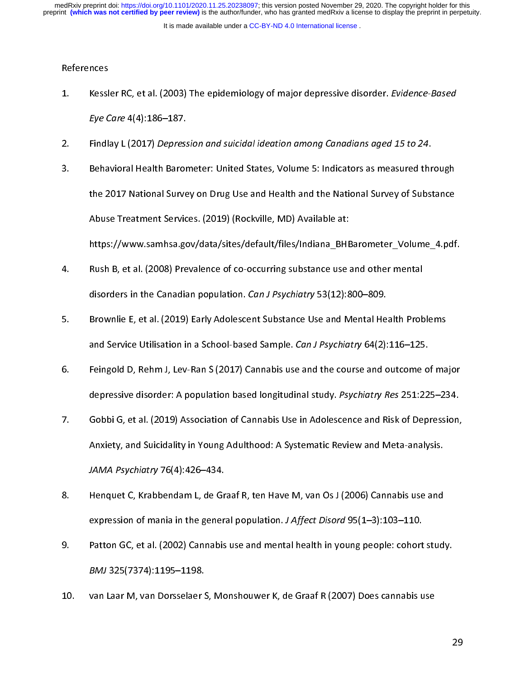It is made available under a [CC-BY-ND 4.0 International license](http://creativecommons.org/licenses/by-nd/4.0/) .

#### References

- 1. Kessle<br>Ey*e C*<br>2. Findla<br>3. Beha
- 
- 1. Kessler RC, et al. (2003) The epidemiology of major depressive disorder. *Evidence-Based*<br>
1. Eye Care 4(4):186–187.<br>
2. Findlay L (2017) Depression and suicidal ideation among Canadians aged 15 to 24.<br>
3. Behavioral He Eye Care 4(4):186–187.<br>Findlay L (2017) *Depress*<br>Behavioral Health Baror<br>the 2017 National Surve<br>Abuse Treatment Servic 2. Findlay E (2017) *Depression and suicidal ideation among Canadians aged 15 to 24.*<br>3. Behavioral Health Barometer: United States, Volume 5: Indicators as measured thr<br>1. The 2017 National Survey on Drug Use and Health a 3. Behavioral Health Barometer: United States, Volume 5: Individual Survey of Substance<br>3. Behavioral States, Indicates and Health and the National Survey of Substance<br>3. Abuse Treatment Services. (2019) (Rockville, MD) Av the 2027 Matricha Carl Cyrenting 2022 Matrice and the Matrice Carl Cyrentian Correlations<br>Abuse Treatment Services. (2019) (Rockville, MD) Available at:<br>https://www.samhsa.gov/data/sites/default/files/Indiana\_BHBarometer\_V
- Attps://www.samhsa.gov/data/sites/default/files/Indiana\_BHE<br>Rush B, et al. (2008) Prevalence of co-occurring substance use at<br>disorders in the Canadian population. *Can J Psychiatry* 53(12):8<br>Brownlie E. et al. (2019) Earl https://www.samhsa.gov/data/sites/default/mes/manua\_\_-headeds\_\_-banding\_default<br>Rush B, et al. (2008) Prevalence of co-occurring substance use and other mental<br>disorders in the Canadian population. *Can J Psychiatry* 53(12
- 4. Alternation of the Canadian population. Can J Psychiatry 53(12):800–809.<br>
5. Brownlie E, et al. (2019) Early Adolescent Substance Use and Mental Health Prob<br>
3. Teingold D. Rehm J. Lev-Ran S (2017) Cannabis use and the disorders in the Canadian population. Can't Tsychiatry 53(12):800–809.<br>Brownlie E, et al. (2019) Early Adolescent Substance Use and Mental He<br>and Service Utilisation in a School-based Sample. Can J Psychiatry 64(2):<br>Feingo
- 5. Brownlie E, et al. (2019) Association of Cannabis Use in Adolescence and Risk of Depressive Gobbi G. et al. (2019) Association of Cannabis Use in Adolescence and Risk of Depressive Income Substitution Cannabis Use in Ad Feingold D, Rehm J, Lev-Ran S (2017) Cannabis use and the course and outcome o<br>depressive disorder: A population based longitudinal study. Psychiatry Res 251:22<br>Gobbi G, et al. (2019) Association of Cannabis Use in Adolesc
- depressive disorder: A population based longitudinal study. Psychiatry Res 251:225–234.<br>
6. Gobbi G, et al. (2019) Association of Cannabis Use in Adolescence and Risk of Depression,<br>
Anxiety, and Suicidality in Young Adult depressive disorder: A population based longitudinal study. Psychiatry ries 251:225–254.<br>Gobbi G, et al. (2019) Association of Cannabis Use in Adolescence and Risk of Depression,<br>Anxiety, and Suicidality in Young Adulthood 7. Anxiety, and Suicidality in Young Adulthood: A Systematic Review and Meta-analysis.<br>
JAMA Psychiatry 76(4):426–434.<br>
8. Henquet C, Krabbendam L, de Graaf R, ten Have M, van Os J (2006) Cannabis use and<br>
expression of ma
- Anxiety, and Suicidality, in Young Adulthood: A Systematic Review and Meta-analysis.<br>
Henquet C, Krabbendam L, de Graaf R, ten Have M, van Os J (2006) Cannabis use and<br>
expression of mania in the general population. *J Aff* JAMA Psychiatry 76(4):426–434.<br>Henquet C, Krabbendam L, de Gr<br>expression of mania in the gener:<br>Patton GC, et al. (2002) Cannabis<br>BMJ 325(7374):1195–1198.
- expression of mania in the general population. J Affect Disord 95(1–3):103–110.<br>
9. Patton GC, et al. (2002) Cannabis use and mental health in young people: cohort stud:<br>
BMJ 325(7374):1195–1198.<br>
10. van Laar M. van Dorss expression of mania in the general population. J Affect Disord 95(1–5):103–110.<br>Patton GC, et al. (2002) Cannabis use and mental health in young people: cohort<br>BMJ 325(7374):1195–1198.<br>van Laar M, van Dorsselaer S, Monshou 9. Pathon GC, et al. (2007) Canadian BMJ 325(7374):1195–1198.<br>10. Pathon Canar M, van Dorsselaer S, Monshouwer K, de Graaf R (2007) Does cannabis use
- BMJ 325(7374):1155–1158.<br>Van Laar M, van Dorsselaer S 10. van Laar M, van Dorsselaer S, Monshouwer K, de Graaf R (2007) Does cannabis use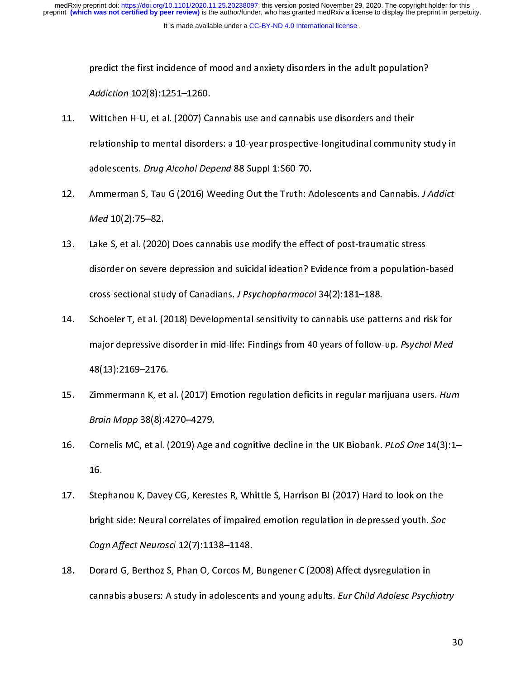- prediction 102(8):1251–1260.<br>Wittchen H-U, et al. (2007) Cannabis use and cannabis use disorders and their<br>relationship to mental disorders: a 10-year prospective-longitudinal community st<br>adolescents. *Drug Alcohol Depend* Addiction 102(8):1251–1260.<br>Wittchen H-U, et al. (2007) Carelationship to mental disorde<br>adolescents. *Drug Alcohol Del*<br>Ammerman S. Tau G (2016) W 11. Witterhood Cynchwyddiaeth ar ann cannabis use an either and their<br>
relationship to mental disorders: a 10-year prospective-longitudinal communit<br>
adolescents. Drug Alcohol Depend 88 Suppl 1:S60-70.<br>
12. Ammerman S, Tau
- relationship to mental disorders.<br>Addlescents. *Drug Alcohol Depend* 88 Suppl 1:S60-70.<br>Ammerman S, Tau G (2016) Weeding Out the Truth: Adolescents and Cannabis. *J Addict*<br>Med 10(2):75–82.<br>Lake S. et al. (2020) Does canna adolescents. *Drug Alcohol Depend* 88 Suppl 1:560-70.<br>Ammerman S, Tau G (2016) Weeding Out the Truth: A<br>*Med* 10(2):75–82.<br>Lake S, et al. (2020) Does cannabis use modify the effe<br>disorder on severe depression and suicidal
- 12. Ammerman S, Tau G (2016) Weeding Out the Truth: Adolescents and Cannabis. J Addict<br>
Med 10(2):75–82.<br>
13. Lake S, et al. (2020) Does cannabis use modify the effect of post-traumatic stress<br>
disorder on severe depressio Med 10(2):75–82.<br>Lake S, et al. (2020<br>disorder on severe<br>cross-sectional stu<br>Schoeler T. et al. (2 13. Lake S, et al. (2021) Developmental studies in Post-transform a population-<br>13. disorder on severe depression and suicidal ideation? Evidence from a population-<br>14. Schoeler T, et al. (2018) Developmental sensitivity t
- cross-sectional study of Canadians. *J Psychopharmacol* 34(2):181–188.<br>Schoeler T, et al. (2018) Developmental sensitivity to cannabis use patterns and risk for<br>major depressive disorder in mid-life: Findings from 40 years cross-sectional study of Canadians. J. Psychopharmacol 34(2):181–188.<br>Schoeler T, et al. (2018) Developmental sensitivity to cannabis use patt<br>major depressive disorder in mid-life: Findings from 40 years of follow-<br>48(13) major depressive disorder in mid-life: Findings from 40 years of follow-up. Psychol Med<br>48(13):2169–2176.<br>15. Zimmermann K, et al. (2017) Emotion regulation deficits in regular marijuana users. Hur<br>Brain Mapp 38(8):4270–42
- major depressive disorder in mid-life: Findings from 40 years of follow-up. 7 sychorized<br>48(13):2169–2176.<br>Zimmermann K, et al. (2017) Emotion regulation deficits in regular marijuana users. Hun<br>Brain Mapp 38(8):4270–4279. 48(13):2169–2176.<br>Zimmermann K, et al. (2017) Emotion regulation deficits in regular marijuana users. Hum<br>Brain Mapp 38(8):4270–4279.<br>Cornelis MC, et al. (2019) Age and cognitive decline in the UK Biobank. *PLoS One* 14(3)
- 15. Zimmermann K, et al. (2017) Emotion regulation deficits in regular marijuana users. Hum<br>Brain Mapp 38(8):4270–4279.<br>16. Cornelis MC, et al. (2019) Age and cognitive decline in the UK Biobank. PLoS One 14(3):1–<br>16. Step Bram Mapp 38(8):4270–4279.<br>Cornelis MC, et al. (2019) Age a<br>16.<br>Stephanou K, Davey CG, Kerest<br>bright side: Neural correlates o
- 16. Cornelis Mc, et al. (2015) Age and cognitive decline in the OK Biobank. PLoS One 14(3):1–<br>16.<br>17. Stephanou K, Davey CG, Kerestes R, Whittle S, Harrison BJ (2017) Hard to look on the<br>bright side: Neural correlates of i Ste<sub>l</sub><br>brig<br>*Cog*<br>Dor 17. Stephanon Correlates of impaired emotion regulation in depressed youth. Soc<br>
17. Stephanou Cogn Affect Neurosci 12(7):1138–1148.<br>
18. Dorard G, Berthoz S, Phan O, Corcos M, Bungener C (2008) Affect dysregulation in<br>
18
- Bright side: Neural correlates of impaired emotion regulation in depressed youth. Soc<br>Cogn Affect Neurosci 12(7):1138–1148.<br>Dorard G, Berthoz S, Phan O, Corcos M, Bungener C (2008) Affect dysregulation in<br>cannabis abusers: Cogn Affect Neurosci 12(7):1138–1148.<br>Dorard G, Berthoz S, Phan O, Corcos M,<br>cannabis abusers: A study in adolescent 21. Dorato Cyclentics, Phannel, Phantom, Bungener C (2008) Affect dysregulation in<br>
cannabis abusers: A study in adolescents and young adults. *Eur Child Adolesc Psych*<br>
cannabis abusers: A study in adolescents and young a cannabis abusers: A study in adolescents and young adults. Eur Child Adolesc Psychiatry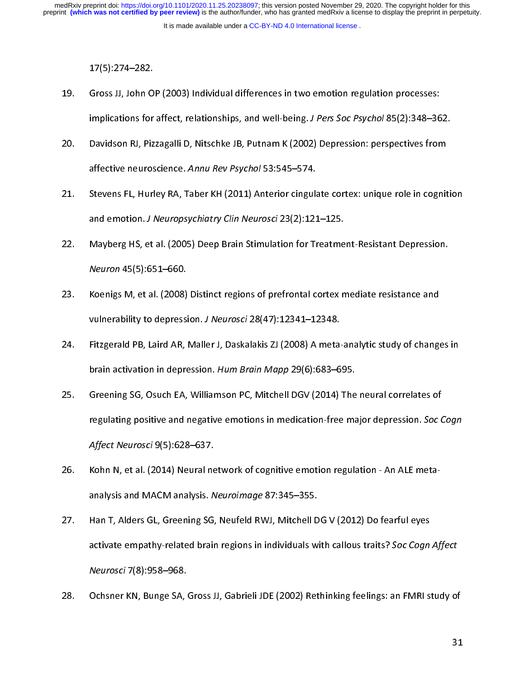- (17)<br>Gross JJ, John O<br>implications for<br>Davidson RJ, Piz<br>affective neuros 19.
- implications for affect, relationships, and well-being. *J Pers Soc Psychol* 85(2):348–36<br>20. Davidson RJ, Pizzagalli D, Nitschke JB, Putnam K (2002) Depression: perspectives fron<br>21. Stevens FL. Hurley RA. Taber KH (2011) implications for affect, relationships, and well-being. J. Pers Soc Psychol 85(2):348–362.<br>Davidson RJ, Pizzagalli D, Nitschke JB, Putnam K (2002) Depression: perspectives from<br>affective neuroscience. *Annu Rev Psychol* 53
- 21. Stevens FL, Hurley RA, Taber KH (2011) Anterior cingulate cortex: unique role in cognit<br>21. Stevens FL, Hurley RA, Taber KH (2011) Anterior cingulate cortex: unique role in cognit<br>22. Mayberg HS, et al. (2005) Deep Bra anective neuroscience. Annu Rev Psychol 53:545–574.<br>Stevens FL, Hurley RA, Taber KH (2011) Anterior cingula<br>and emotion. *J Neuropsychiatry Clin Neurosci* 23(2):12:<br>Mayberg HS, et al. (2005) Deep Brain Stimulation for Tr<br>N
- 22. Mayberg HS, et al. (2005) Deep Brain Stimulation for Treatment-Resistant Depression.<br>22. Mayberg HS, et al. (2005) Deep Brain Stimulation for Treatment-Resistant Depression.<br>23. Koenigs M. et al. (2008) Distinct region and emotion. J Neuropsychlatry Clin Neurosci 23(2):121–125.<br>Mayberg HS, et al. (2005) Deep Brain Stimulation for Treatme<br>Neuron 45(5):651–660.<br>Koenigs M, et al. (2008) Distinct regions of prefrontal cortex n<br>vulnerability
- 22. Mayberg HS, et al. (2008) Distinct regions of prefrontal cortex mediate resistance and<br>23. Koenigs M, et al. (2008) Distinct regions of prefrontal cortex mediate resistance and<br>24. Fitzgerald PB. Laird AR. Maller J. Da
- *Neuron* 45(5):651–660.<br>Koenigs M, et al. (2008) Distinct regions of prefrontal cortex mediate resistance and<br>vulnerability to depression. *J Neurosci* 28(47):12341–12348.<br>Fitzgerald PB, Laird AR, Maller J, Daskalakis ZJ ( vulnerability to depression. J Neurosci 28(47):12341–12348.<br>24. Fitzgerald PB, Laird AR, Maller J, Daskalakis ZJ (2008) A meta-analytic study of change<br>25. Greening SG. Osuch EA. Williamson PC. Mitchell DGV (2014) The neur vullerability to depression. J Neuroscr 20(47):12341–12340.<br>Fitzgerald PB, Laird AR, Maller J, Daskalakis ZJ (2008) A meta-<br>brain activation in depression. Hum Brain Mapp 29(6):683–6<br>Greening SG, Osuch EA, Williamson PC, M
- 25. Greening SG, Osuch EA, Williamson PC, Mitchell DGV (2014) The neural correlates of<br>25. Greening SG, Osuch EA, Williamson PC, Mitchell DGV (2014) The neural correlates of<br>25. Greening SG, Osuch EA, Williamson PC, Mitche brain activation in depression. Hum Brain Mapp 29(6):683–695.<br>Greening SG, Osuch EA, Williamson PC, Mitchell DGV (2014) The<br>regulating positive and negative emotions in medication-free ma<br>Affect Neurosci 9(5):628–637.<br>Kohn 222. Servening SC, Ostatic Literature of Affect Indian Politics and negative emotions in medication-free major depression. Soc C<br>Affect Neurosci 9(5):628–637.<br>26. Kohn N, et al. (2014) Neural network of cognitive emotion r
- regulating positive and negative emotions in medication-free major depression. Soc Cogn<br>Affect Neurosci 9(5):628–637.<br>Kohn N, et al. (2014) Neural network of cognitive emotion regulation An ALE meta-<br>analysis and MACM an Affect Neurosci 5(5):628–637.<br>Kohn N, et al. (2014) Neural ne<br>analysis and MACM analysis. N<br>Han T, Alders GL, Greening SG,<br>activate empathv-related brair
- analysis and MACM analysis. *Neuroimage 87:345–355.*<br>Han T, Alders GL, Greening SG, Neufeld RWJ, Mitchell D<br>activate empathy-related brain regions in individuals w<br>*Neurosci* 7(8):958–968.<br>Ochsner KN. Bunge SA. Gross JJ. G 27. 22. Han T, Alders Capturing Schemen and, Mitchell DC (2012) 22 Celeminary 22.<br>activate empathy-related brain regions in individuals with callous traits? Soc Cogn<br>Neurosci 7(8):958–968.<br>28. Ochsner KN, Bunge SA, Gross JJ, G activate empathy-related brain regions in individuals with callous traits? Soc Cogn Affect<br>Neurosci 7(8):958–968.<br>Ochsner KN, Bunge SA, Gross JJ, Gabrieli JDE (2002) Rethinking feelings: an FMRI study of<br>3: Neurosci 7(8): 958-968.
- Neurosch 7(8):958–968.<br>Ochsner KN, Bunge SA, 28. Ochside SA, Bunge SA, Gross JJ, Babrieli J, Gross JJ, Gabrieli J, Gross JJ, Gross JJ, Gross JJ, Gross JJ,<br>31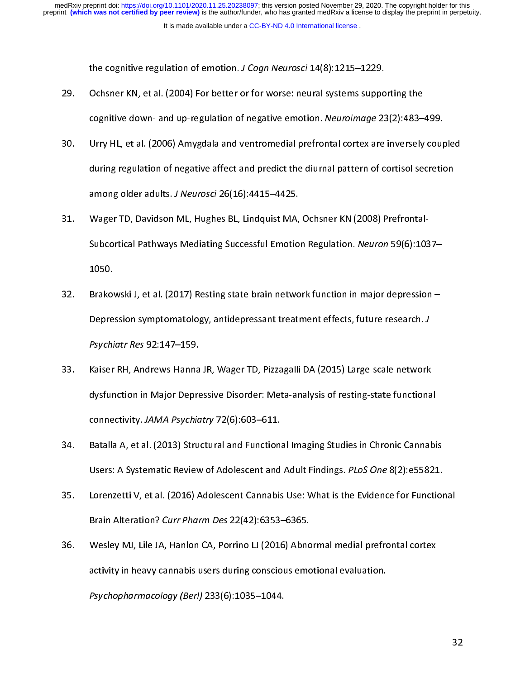- Ochsner KN, et al. (2004) For better or for worse: neural systems suppo<br>cognitive down- and up-regulation of negative emotion. Neuroimage 23<br>Urry HL, et al. (2006) Amygdala and ventromedial prefrontal cortex are<br>during reg 29.
- 29. Cognitive down- and up-regulation of negative emotion. Neuroimage 23(2):483–<br>29. Urry HL, et al. (2006) Amygdala and ventromedial prefrontal cortex are inversely<br>29. during regulation of negative affect and predict the cognitive down- and up-regulation of negative emotion. Mediomage 23(2):483–499.<br>Urry HL, et al. (2006) Amygdala and ventromedial prefrontal cortex are inversely coup<br>during regulation of negative affect and predict the diu 31. Urry Human equilation of negative affect and predict the diurnal pattern of cortisol secretion<br>31. Wager TD, Davidson ML, Hughes BL, Lindquist MA, Ochsner KN (2008) Prefrontal-<br>31. Wager TD, Davidson ML, Hughes BL, Lin
- among older adults. *J Neurosci* 26(16):4415–4425.<br>Wager TD, Davidson ML, Hughes BL, Lindquist MA, Ochsner KN (2008) Prefrontal-<br>Subcortical Pathways Mediating Successful Emotion Regulation. *Neuron* 59(6):1037–<br>1050. among older adults. J. Neuroscr 20(10):4415–4425.<br>Wager TD, Davidson ML, Hughes BL, Lindquist MA,<br>Subcortical Pathways Mediating Successful Emotio<br>1050.<br>Brakowski J. et al. (2017) Resting state brain netwo
- Depression symptomatology, antidepressant treatment effects, future research. J Subcortical Pathways Mediating Successful Emotion Regulation. Medion 59(0):1037–1050.<br>1050.<br>Brakowski J, et al. (2017) Resting state brain network function in major depression –<br>Depression symptomatology, antidepressant tr Brakov<br>Depre<br>*Psychi*<br>Kaiser 32. Bepression symptomatology, antidepressant treatment effects, future research. J<br>1. Psychiatr Res 92:147–159.<br>33. Kaiser RH, Andrews-Hanna JR, Wager TD, Pizzagalli DA (2015) Large-scale network<br>1. dysfunction in Major D
- Depression symptomatology, antidepressant treatment effects, future research. J<br>Psychiatr Res 92:147–159.<br>Kaiser RH, Andrews-Hanna JR, Wager TD, Pizzagalli DA (2015) Large-scale network<br>dysfunction in Major Depressive Diso Psychiatr Res 92:147–159.<br>Kaiser RH, Andrews-Hanna<br>dysfunction in Major Depre<br>connectivity. JAMA Psychia<br>Batalla A. et al. (2013) Stru 33. Miner Rh, Miner Rh, Andrews, Proget Tey Pizzagalli DA (2012) 2016 Rh Andrews-<br>dysfunction in Major Depressive Disorder: Meta-analysis of resting-state functiona<br>connectivity. JAMA Psychiatry 72(6):603–611.<br>Batalla A, e
- dystantiaria in Major Depressive Distriction in Major Depting-site functions<br>connectivity. JAMA Psychiatry 72(6):603–611.<br>Batalla A, et al. (2013) Structural and Functional Imaging Studies in Chronic Cannabi<br>Users: A Syste connectivity. JAMA Psychiatry 72(6):603–611.<br>Batalla A, et al. (2013) Structural and Function:<br>Users: A Systematic Review of Adolescent and<br>Lorenzetti V, et al. (2016) Adolescent Cannabis<br>Brain Alteration? *Curr Pharm Des*
- Users: A Systematic Review of Adolescent and Adult Findings. *PLoS One* 8(2):e55821.<br>35. Lorenzetti V, et al. (2016) Adolescent Cannabis Use: What is the Evidence for Function<br>8 Brain Alteration? Curr Pharm Des 22(42):6353 Users: A Systematic Review of Adolescent and Adult Findings. PLOS One 8(2):e55821.<br>Lorenzetti V, et al. (2016) Adolescent Cannabis Use: What is the Evidence for Functior<br>Brain Alteration? *Curr Pharm Des* 22(42):6353–6365.
- 35. Brain Alteration? Curr Pharm Des 22(42):6353–6365.<br>36. Wesley MJ, Lile JA, Hanlon CA, Porrino LJ (2016) Abnormal medial prefrontal cortex<br>35. activity in heavy cannabis users during conscious emotional evaluation.<br>25. Brain Alteration: Carr Pharm Des 22(42):0333–6363.<br>Wesley MJ, Lile JA, Hanlon CA, Porrino LJ (2016) Abno<br>activity in heavy cannabis users during conscious emo<br>Psychopharmacology (Berl) 233(6):1035–1044. activity in heavy cannabis users during conscious emotional evaluation.<br>Psychopharmacology (Berl) 233(6):1035–1044. Psychopharmacology (Berl) 233(6):1035–1044.<br>Psychopharmacology (Berl) 233(6):1035–1044. Psychopharmacology (Berl) 233(6):1035–1044.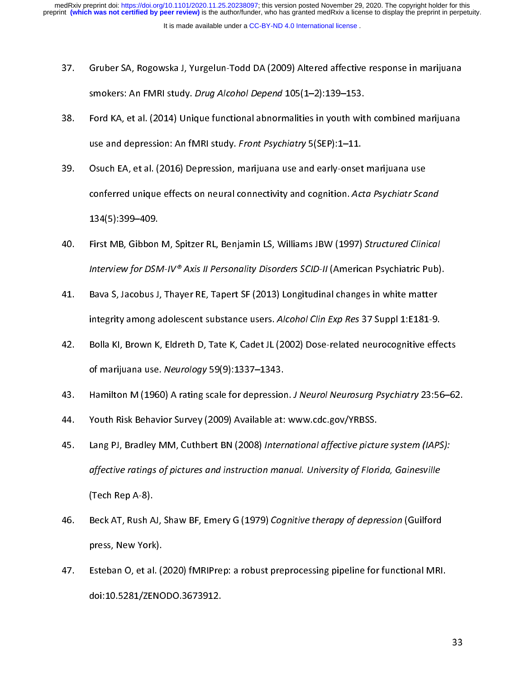- 37. Gruber SA, Rogowska J, Yurgelun-Todd DA (2009) Altered affective response in marijuana
- smokers: An FMRI study. *Drug Alcohol Depend* 105(1–2):139–153.<br>38. Ford KA, et al. (2014) Unique functional abnormalities in youth with combined marijuana<br>39. Osuch EA. et al. (2016) Depression, marijuana use and early-on smokers: An FMRI study. *Drug Alcohor Depend* 105(1–2):135–153.<br>Ford KA, et al. (2014) Unique functional abnormalities in youth wit<br>use and depression: An fMRI study. *Front Psychiatry* 5(SEP):1–11.<br>Osuch EA, et al. (2016)
- 38. For an depression: An fMRI study. *Front Psychiatry* 5(SEP):1–11.<br>39. Osuch EA, et al. (2016) Depression, marijuana use and early-onset marijuana use<br>conferred unique effects on neural connectivity and cognition. Acta use and depression: An fivilit study. Front Psychiatry 5(3EP):1–11.<br>Osuch EA, et al. (2016) Depression, marijuana use and early-onset<br>conferred unique effects on neural connectivity and cognition. Ac:<br>134(5):399–409.<br>First 393. Osuch EA, et al. (2022) Depression, manipulation and early-onset manipulation and<br>39. Conferred unique effects on neural connectivity and cognition. Acta Psychiatr Sca<br>39. Tirst MB, Gibbon M, Spitzer RL, Benjamin LS,
- conferred unique effects on neural connectivity and cognition. Acta Psychiatr Scand<br>134(5):399–409.<br>First MB, Gibbon M, Spitzer RL, Benjamin LS, Williams JBW (1997) Structured Clinical<br>Interview for DSM-IV® Axis II Persona |<br>| First MB, Gibbon<br>| Interview for DSN<br>| Bava S, Jacobus J<br>| integrity among
- 40. First MB, Gibbon M, Spitzer RL, Benjamin LS, Williams JBW (1557) Structured Clinical<br>Interview for DSM-IV® Axis II Personality Disorders SCID-II (American Psychiatric Pub).<br>41. Bava S, Jacobus J, Thayer RE, Tapert SF ( Bava S, Jacobus J, Thayer RE, Tapert SF (2013) Longitudinal changes in white matter<br>integrity among adolescent substance users. Alcohol Clin Exp Res 37 Suppl 1:E181-9.<br>Bolla KI, Brown K, Eldreth D, Tate K, Cadet JL (2002)
- integrity among adolescent substance users. Alcohol Clin Exp Res 37 Suppl 1:E181-9.<br>
42. Bolla KI, Brown K, Eldreth D, Tate K, Cadet JL (2002) Dose-related neurocognitive effection<br>
43. Hamilton M (1960) A rating scale for integrity among adolescent substance users. Alcohol Clin Exp Res 37 Suppl 1:E181-9.<br>Bolla KI, Brown K, Eldreth D, Tate K, Cadet JL (2002) Dose-related neurocognitive effe<br>of marijuana use. *Neurology* 59(9):1337–1343.<br>Hami of marijuana use. Neurology 59(9):1337–1343.<br>43. Hamilton M (1960) A rating scale for depression. J Neurol Neurosurg Psychiatry 23:56–62<br>44. Youth Risk Behavior Survey (2009) Available at: www.cdc.gov/YRBSS.<br>45. Lang PJ. B
- 
- 
- of marijuana use. *Neurology* 59(9):1337–1343.<br>Hamilton M (1960) A rating scale for depression. *J Neurol Neurosurg Psychiatry* 23:56–62.<br>Youth Risk Behavior Survey (2009) Available at: www.cdc.gov/YRBSS.<br>Lang PJ, Bradley 44. Youth Risk Behavior Survey (2009) Available at: www.cdc.gov/YRBSS.<br>44. Youth Risk Behavior Survey (2009) Available at: www.cdc.gov/YRBSS.<br>45. Lang PJ, Bradley MM, Cuthbert BN (2008) International affective picture syst 45. Lang PJ, Bradley MM, Cuthbert BN (2008) International affective pictu<br>affective ratings of pictures and instruction manual. University of Flori<br>Tech Rep A-8).<br>46. Beck AT. Rush AJ. Shaw BF. Emery G (1979) Coanitive the 45. Lang PJ, Bradley MM, Cuthbert BN (2006) *International affective picture system (IAT 5)*.<br> *affective ratings of pictures and instruction manual. University of Florida, Gainesville*<br>
(Tech Rep A-8).<br>
A6. Beck AT, Rush
- affective ratings of pictures and instruction manual. University of Florida, Gainesville<br>(Tech Rep A-8).<br>Beck AT, Rush AJ, Shaw BF, Emery G (1979) *Cognitive therapy of depression* (Guilford<br>press, New York).<br>Esteban O. et (Tech AT, Rush A<br>Press, New York<br>Esteban O, et al<br>doi:10.5281/ZEI
- 46. Beck AT, Rush AJ, Shaw BF, Emery G (1979) Cognitive therapy of depression (Guilford<br>press, New York).<br>47. Esteban O, et al. (2020) fMRIPrep: a robust preprocessing pipeline for functional MRI.<br>doi:10.5281/ZENODO.367391 press, 2<br>Esteban O, et al. (2<br>doi:10.5281/ZENC 47. Esteban O, et al. (2021) fMRIPP, preprocessing preprocessing preprocession of the functional MRI.<br>doi:10.5281/ZENODO.3673912. doi:10.5281/ZENODO.3673912.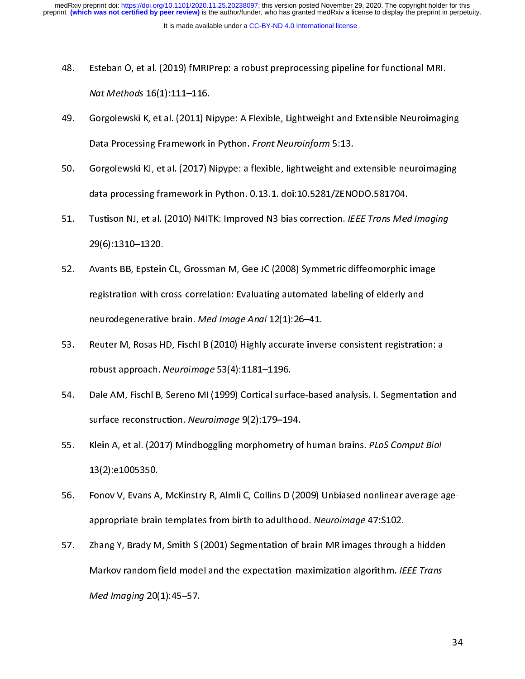- 48.
- Ast Methods 16(1):111–116.<br>49. Gorgolewski K, et al. (2011) Nipype: A Flexible, Lightweight and Extensible Neuroimagi<br>50. Gorgolewski KJ, et al. (2017) Nipype: a flexible, lightweight and extensible neuroimagi Nat Methods 10(1):111–110.<br>Gorgolewski K, et al. (2011) N<br>Data Processing Framework in<br>Gorgolewski KJ, et al. (2017) P<br>data processing framework in
- Data Processing Framework in Python. *Front Neuroinform* 5:13.<br>
50. Gorgolewski KJ, et al. (2017) Nipype: a flexible, lightweight and extensible neuroimaging<br>
data processing framework in Python. 0.13.1. doi:10.5281/ZENODO Bata Processing Framework in Python. *Front Neuroinform 5:13.*<br>Gorgolewski KJ, et al. (2017) Nipype: a flexible, lightweight and 6<br>data processing framework in Python. 0.13.1. doi:10.5281/ZENC<br>Tustison NJ, et al. (2010) N4
- 51. Tustison NJ, et al. (2010) N4ITK: Improved N3 bias correction. IEEE Trans Med Imaging<br>51. Tustison NJ, et al. (2010) N4ITK: Improved N3 bias correction. IEEE Trans Med Imaging<br>52. Avants BB. Epstein CL. Grossman M. Gee data processing framework in Python. 1991 and tenders all, 2010 in<br>Tustison NJ, et al. (2010) N4ITK: Improved N3 bias correction. *IEEE Trans Med*<br>29(6):1310–1320.<br>Avants BB, Epstein CL, Grossman M, Gee JC (2008) Symmetric
- 51. Tustison NJ, et al. (2010) N4TTK: Improved N3 bias correction. IEEE Trans Med Imaging<br>29(6):1310–1320.<br>52. Avants BB, Epstein CL, Grossman M, Gee JC (2008) Symmetric diffeomorphic image<br>registration with cross-correlat 29(9):2220-2220.<br>Avants BB, Epstein<br>registration with c<br>neurodegenerative<br>Reuter M. Rosas H registration with cross-correlation: Evaluating automated labeling of elderly and<br>neurodegenerative brain. *Med Image Anal* 12(1):26–41.<br>S3. Reuter M, Rosas HD, Fischl B (2010) Highly accurate inverse consistent registrati
- reurodegenerative brain. *Med Image Anal* 12(1):26–41.<br>Reuter M, Rosas HD, Fischl B (2010) Highly accurate inverse consistent registration<br>robust approach. *Neuroimage* 53(4):1181–1196.<br>Dale AM. Fischl B. Sereno MI (1999) neurodegenerative brain. Med *image Anal* 12(1):26–41.<br>Reuter M, Rosas HD, Fischl B (2010) Highly accurate inve<br>robust approach. Neuroimage 53(4):1181–1196.<br>Dale AM, Fischl B, Sereno MI (1999) Cortical surface-base<br>surface
- France Captive M, Reuter M, Reuter M, Rosentian and States Hotel And Fischl B, Sereno MI (1999) Cortical surface-based analysis. I. Segmentation and surface reconstruction. Neuroimage 9(2):179–194.<br>S5. Klein A. et al. (201 robust approach. Neuromnuge 53(4):1181–1130.<br>Dale AM, Fischl B, Sereno MI (1999) Cortical surfa<br>surface reconstruction. *Neuroimage* 9(2):179–19<br>Klein A, et al. (2017) Mindboggling morphometry<br>13(2):e1005350.
- 54. Surface reconstruction. Neuroimage 9(2):179–194.<br>55. Klein A, et al. (2017) Mindboggling morphometry of human brains. PLoS Comput Biol<br>13(2):e1005350.<br>56. Fonov V. Evans A. McKinstry R. Almli C. Collins D (2009) Unbias surface reconstruction. *Neuroimage 9*(2):179–194.<br>Klein A, et al. (2017) Mindboggling morphometry of<br>13(2):e1005350.<br>Fonov V, Evans A, McKinstry R, Almli C, Collins D (20<br>appropriate brain templates from birth to adulthoo
- 55. Klein A, et al. (2017) Mindbogging morphometry of human brains. PLoS Comput Biol<br>13(2):e1005350.<br>56. Fonov V, Evans A, McKinstry R, Almli C, Collins D (2009) Unbiased nonlinear average a<br>57. Zhang Y. Brady M. Smith S ( (13)<br>Fonov V, Evans A<br>appropriate brair<br>Zhang Y, Brady M<br>Markov random 1
- $Med$  Imaging  $20(1)$ : 45-57. appropriate brain templates from birth to additiood. Neuroimage 47:3102.<br>Zhang Y, Brady M, Smith S (2001) Segmentation of brain MR images through<br>Markov random field model and the expectation-maximization algorithm. IE<br>Med Markov random field model and the expectation-maximization algorithm. IEEE Trans<br>
Med Imaging 20(1):45–57. Markov random field model and the expectation-maximization algorithm. IEEE Trans<br>Med Imaging 20(1):45–57.  $W$ ed *Imaging* 20(1):45–57.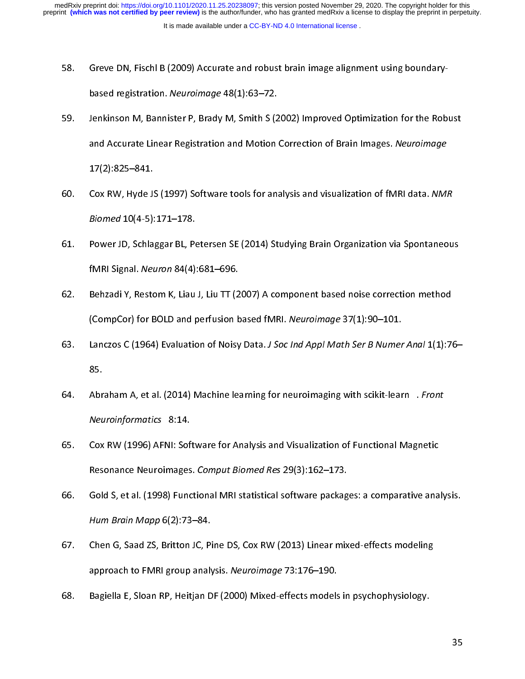- 58. Greve DN, Fischl B (2009) Accurate and robust brain image alignment using boundary-
- based registration. *Neuroimage* 48(1):63–72.<br>Jenkinson M, Bannister P, Brady M, Smith S (2<br>and Accurate Linear Registration and Motion<br>17(2):825–841.<br>Cox RW. Hyde JS (1997) Software tools for an: 59. 59. Jenkinson M, Bannister P, Brady M, Schmitt C(2002) MA<sub>P</sub>roved Optimization Cornection<br>
and Accurate Linear Registration and Motion Correction of Brain Images. Neuroimage<br>
17(2):825–841.<br>
60. Cox RW, Hyde JS (1997) Soft  $17(2)$ :825-841.
- and Accurate Linear Registration and Motion Correction or Brain Images. Neuroimage<br>17(2):825–841.<br>Biomed 10(4-5):171–178.<br>Power JD. Schlaggar BL. Petersen SE (2014) Studving Brain Organization via Spontaneo 17(1):111<br>Cox RW, Hyde J<br>*Biomed* 10(4-5):<br>Power JD, Schla<br>fMRI Signal. *Net*
- 60. Cox RW, Hyde 35 (1997) Software tools for analysis and visualization of fMRI data. NMR<br>Biomed 10(4-5):171–178.<br>61. Power JD, Schlaggar BL, Petersen SE (2014) Studying Brain Organization via Spontaneou<br>fMRI Signal. *Neu* Biomed 10(4-5):17-1-178.<br>Power JD, Schlaggar BL, Pe<br>fMRI Signal. *Neuron* 84(4)<br>Behzadi Y, Restom K, Liau<br>(CompCor) for BOLD and r
- 61. Power J. Schlaggar BB, Power Jones, Petersen September 2.5 and also parallel in a spontaneously f<br>MRI Signal. Neuron 84(4):681–696.<br>62. Behzadi Y, Restom K, Liau J, Liu TT (2007) A component based noise correction meth FMRT Signal. *Neuron 84*(4):681–696.<br>Behzadi Y, Restom K, Liau J, Liu TT (2<br>(CompCor) for BOLD and perfusion b<br>Lanczos C (1964) Evaluation of Noisy<br>85.
- (CompCor) for BOLD and perfusion based fMRI. Neuroimage 37(1):90–101.<br>
63. Lanczos C (1964) Evaluation of Noisy Data. *J Soc Ind Appl Math Ser B Numer Anal* 1(1):7<br>
64. Abraham A. et al. (2014) Machine learning for neuroi (CompCor) for BOLD and perfusion based fMRI. Neuroimage 37(1):90–101.<br>Lanczos C (1964) Evaluation of Noisy Data. *J Soc Ind Appl Math Ser B Numer*<br>85.<br>Abraham A, et al. (2014) Machine learning for neuroimaging with scikit-
- 63. Lanczos C (1964) Evaluation of Noisy Data. J Soc *Ind Appl Middl Ser B Numer Andr* 1(1):76–<br>85. Abraham A, et al. (2014) Machine learning for neuroimaging with scikit-learn *. Front*<br>*Neuroinformatics* 8:14.<br>65. Cox --<br>Abr<br>*Neu*<br>Cox<br>Res
- 64. Abraham A, et al. (2014) Machine learning for neuroinlaging with scikit-learn 1.770/h.<br>
65. Cox RW (1996) AFNI: Software for Analysis and Visualization of Functional Magnetic<br>
Resonance Neuroimages. Comput Biomed Res 2 Neuromformatics 8:14.<br>Cox RW (1996) AFNI: Sof<br>Resonance Neuroimages<br>Gold S, et al. (1998) Func<br>Hum Brain Mapp 6(2):73
- France Neuroimages. Comput Biomed Res 29(3):162–173.<br>66. Gold S, et al. (1998) Functional MRI statistical software packages: a comparative ana<br>67. Chen G. Saad ZS. Britton JC. Pine DS. Cox RW (2013) Linear mixed-effects mo Resonance Neuromiages. Comput Biomed Res 29(9):162–173.<br>Gold S, et al. (1998) Functional MRI statistical software packag<br>Hum Brain Mapp 6(2):73–84.<br>Chen G, Saad ZS, Britton JC, Pine DS, Cox RW (2013) Linear mix<br>approach to
- For Brain Mapp 6(2):73–84.<br>
67. Chen G, Saad ZS, Britton JC, Pine DS, Cox RW (2013) Linear mixed-effects modeling<br>
approach to FMRI group analysis. Neuroimage 73:176–190.<br>
68. Bagiella E. Sloan RP. Heitian DF (2000) Mixed-Hum Brain Mapp 6(2):73–64.<br>Chen G, Saad ZS, Britton JC, Pi<br>approach to FMRI group anal<sub>)</sub><br>Bagiella E, Sloan RP, Heitjan D approach to FMRI group analysis. Neuroimage 73:176–190.<br>68. Bagiella E, Sloan RP, Heitjan DF (2000) Mixed-effects models in psychophysiology.
- approach to FMRI group analysis. *Neuroimage 73:176–190.*<br>Bagiella E, Sloan RP, Heitjan DF (2000) Mixed-effects models 68. Bagiella E, Sloan RP, Heitjan DF (2000) Mixed-effects models in psychophysiology.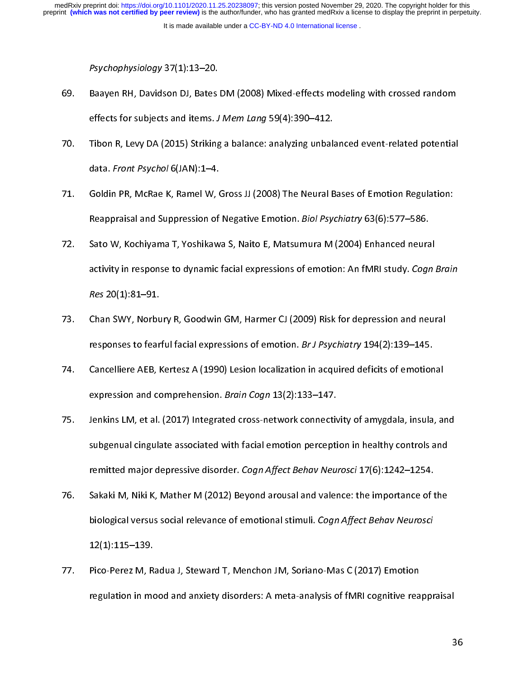- Psychophysiology 37(1):13–20.<br>Baayen RH, Davidson DJ, Bates<br>effects for subjects and items. J<br>Tibon R, Levy DA (2015) Striking<br>data. *Front Psychol* 6(JAN):1–4. 69.
- effects for subjects and items. *J Mem Lang* 59(4):390–412.<br>
Fibon R, Levy DA (2015) Striking a balance: analyzing unbalanced event-related potential<br>
data. *Front Psychol* 6(JAN):1–4.<br>
T1. Goldin PR. McRae K. Ramel W. Gro effects for subjects and items. J Mem Lang 35(4):350–412.<br>Tibon R, Levy DA (2015) Striking a balance: analyzing unbala<br>data. *Front Psychol* 6(JAN):1–4.<br>Goldin PR, McRae K, Ramel W, Gross JJ (2008) The Neural B<br>Reappraisal
- data. Front Psychol 6(JAN):1–4.<br>
71. Goldin PR, McRae K, Ramel W, Gross JJ (2008) The Neural Bases of Emotion Regulation:<br>
Reappraisal and Suppression of Negative Emotion. *Biol Psychiatry* 63(6):577–586.<br>
72. Sato W. Koch data. Front Psychol 0(JAN):1–4.<br>Goldin PR, McRae K, Ramel W, O<br>Reappraisal and Suppression of<br>Sato W, Kochiyama T, Yoshikaw<br>activity in response to dynamic
- Reappraisal and Suppression of Negative Emotion. *Biol Psychiatry* 63(6):577–586.<br>72. Sato W, Kochiyama T, Yoshikawa S, Naito E, Matsumura M (2004) Enhanced neural<br>activity in response to dynamic facial expressions of emot Reappraisar and Suppression of Negative Emotion. Biol Psychiatry 63(6):377–586.<br>Sato W, Kochiyama T, Yoshikawa S, Naito E, Matsumura M (2004) Enhanced neura<br>activity in response to dynamic facial expressions of emotion: An 22. Sato W, Kochi, Antara, Yoshikawa S, Naito E, Matsumura M (2004), 2004.<br>2013. Activity in response to dynamic facial expressions of emotion: An fMRI study. *Cogn i*<br>23. Chan SWY, Norbury R, Goodwin GM, Harmer CJ (2009)
- activity in response to dynamic facial expressions of emotion: An filmit study. Cogn Brain<br>Res 20(1):81–91.<br>Chan SWY, Norbury R, Goodwin GM, Harmer CJ (2009) Risk for depression and neural<br>responses to fearful facial expre Res 20(1):81–91.<br>Chan SWY, Norbu<br>responses to fear<br>Cancelliere AEB, I<br>expression and co
- responses to fearful facial expressions of emotion. *Br J Psychiatry* 194(2):139–145.<br>74. Cancelliere AEB, Kertesz A (1990) Lesion localization in acquired deficits of emotional<br>8 expression and comprehension. *Brain Cogn* responses to rearial facial expressions of emotion. Br J Psychiatry 194(2):139–145.<br>Cancelliere AEB, Kertesz A (1990) Lesion localization in acquired deficits of emotion<br>expression and comprehension. *Brain Cogn* 13(2):133
- expression and comprehension. *Brain Cogn* 13(2):133–147.<br>75. Jenkins LM, et al. (2017) Integrated cross-network connectivity of amygdala, insula, an<br>1991 subgenual cingulate associated with facial emotion perception in he expression and comprenension. Brain Cogn 13(2):133–147.<br>Jenkins LM, et al. (2017) Integrated cross-network connectiv<br>subgenual cingulate associated with facial emotion percepti<br>remitted major depressive disorder. *Cogn Aff* 5. Subgenual cingulate associated with facial emotion perception in healthy controls and<br>
remitted major depressive disorder. Cogn Affect Behav Neurosci 17(6):1242–1254.<br>
76. Sakaki M, Niki K, Mather M (2012) Beyond arousa
- subgenual cingulate associated with facial emotion perception in health, controls and<br>remitted major depressive disorder. *Cogn Affect Behav Neurosci* 17(6):1242–1254.<br>Sakaki M, Niki K, Mather M (2012) Beyond arousal and v remitted major depressive disorder. Cogn Affect Behav Mediosci 17(0):1242–1254.<br>Sakaki M, Niki K, Mather M (2012) Beyond arousal and valence: the importance of t<br>biological versus social relevance of emotional stimuli. *Co* individual versus social relevance of emotional stimuli. Cogn Affect Behav Neurosci<br>12(1):115–139.<br>77. Pico-Perez M, Radua J, Steward T, Menchon JM, Soriano-Mas C (2017) Emotion<br>77. Pico-Perez M, Radua J, Steward T, Mencho
- biological versus social relevance of emotional stimuli. Cogn Affect Behav Neuroscr<br>12(1):115–139.<br>Pico-Perez M, Radua J, Steward T, Menchon JM, Soriano-Mas C (2017) Emotion<br>regulation in mood and anxiety disorders: A meta 12<br>Pico-Perez M, R<br>regulation in mo regulation in mood and anxiety disorders: A meta-analysis of fMRI cognitive rea regulation in mood and analysis of fMRI compared and analysis of fMRI cognitive reapprension of  $\overline{\phantom{a}}$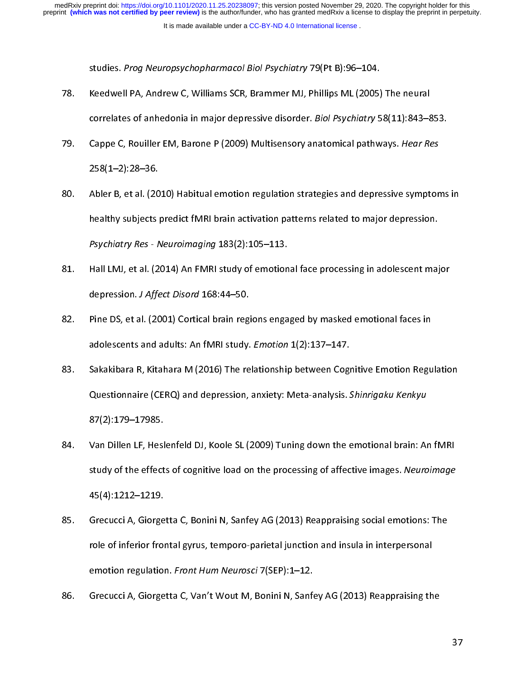It is made available under a [CC-BY-ND 4.0 International license](http://creativecommons.org/licenses/by-nd/4.0/) .

- studies. Prog Neuropsychopharmacol Biol Psychiatry 79(FC B):96–104.<br>Keedwell PA, Andrew C, Williams SCR, Brammer MJ, Phillips ML (2005)<br>correlates of anhedonia in major depressive disorder. *Biol Psychiatry* 5<br>Cappe C, Rou 78.
- 79. Cappe C, Rouiller EM, Barone P (2009) Multisensory anatomical pathways. Hear Re<br>258(1–2):28–36.<br>80. Abler B. et al. (2010) Habitual emotion regulation strategies and depressive sympt correlates of anhedonia in major depressive disorder. *Biol Psychidity 38*(11):843–833.<br>Cappe C, Rouiller EM, Barone P (2009) Multisensory anatomical pathways. *Hear Res*<br>258(1–2):28–36.<br>Abler B, et al. (2010) Habitual emo
- 258(1–2):28–36.<br>258(1–2):28–36.<br>Roundler B, et al. (2010) Habitual emotion regulation strategies and depressive sympton<br>healthy subjects predict fMRI brain activation patterns related to major depression.<br>Psychiatry Res 258(2014)<br>Abler B, et al. (20<br>healthy subjects<br>Psychiatry Res - N<br>Hall LMJ, et al. (2 81. Abler B, et al. (2014) Habitual emotion patterns related to major depression.<br>81. Hall LMJ, et al. (2014) An FMRI study of emotional face processing in adolescent major<br>81. Hall LMJ, et al. (2014) An FMRI study of emot
- healthy Res Neuroimaging 183(2):105–113.<br>Hall LMJ, et al. (2014) An FMRI study of emotional face processing in adolescent major depression. J Affect Disord 168:44–50.<br>Pine DS. et al. (2001) Cortical brain regions engaged Psychiatry Res - Weardminging 183(2):105–113.<br>Hall LMJ, et al. (2014) An FMRI study of emotion<br>depression. *J Affect Disord* 168:44–50.<br>Pine DS, et al. (2001) Cortical brain regions enga<br>adolescents and adults: An fMRI stu
- depression. *J Affect Disord* 168:44–50.<br>82. Pine DS, et al. (2001) Cortical brain regions engaged by masked emotional faces in<br>adolescents and adults: An fMRI study. *Emotion* 1(2):137–147.<br>83. Sakakibara R. Kitahara M (2 depression. J Affect Disord 168:44–50.<br>Pine DS, et al. (2001) Cortical brain regi<br>adolescents and adults: An fMRI study.<br>Sakakibara R, Kitahara M (2016) The re<br>Ouestionnaire (CERO) and depression.
- 83. Sakakibara R, Kitahara M (2016) The relationship between Cognitive Emotion Regu<br>Questionnaire (CERQ) and depression, anxiety: Meta-analysis. Shinrigaku Kenkyu<br>87(2):179–17985. adolescents and adults: An fMM study. *Emotion* 1(2):137–147.<br>Sakakibara R, Kitahara M (2016) The relationship between Cogi<br>Questionnaire (CERQ) and depression, anxiety: Meta-analysis. S<br>87(2):179–17985.<br>Van Dillen LF. Hes Questionnaire (CERQ) and depression, anxiety: Meta-analysis. Shinrigaku Kenkyu<br>87(2):179–17985.<br>84. Van Dillen LF, Heslenfeld DJ, Koole SL (2009) Tuning down the emotional brain: An fMRI<br>study of the effects of cognitive l
- Questionnane (CERQ) and depression, anxiety: Meta-analysis. Shinrigaku Kenkyu<br>87(2):179–17985.<br>Van Dillen LF, Heslenfeld DJ, Koole SL (2009) Tuning down the emotional brain: Ar<br>study of the effects of cognitive load on the van Dillen LF, Hesl<br>1798 Study of the effect<br>45(4):1212–1219.<br>Grecucci A. Giorge 84. IS an EMERT EXTENDED LATERTY TEMPTON DRIVING A CHARGE IN A FORM STAR AND MANUSE STAR STAR STAR STAR STAR SUPPOSE AS A SIDEN 2012-1219.<br>85. Grecucci A, Giorgetta C, Bonini N, Sanfey AG (2013) Reappraising social emotion
- study of the effects of cognitive load on the processing of affective images. Neuroimage<br>45(4):1212–1219.<br>Grecucci A, Giorgetta C, Bonini N, Sanfey AG (2013) Reappraising social emotions: The<br>role of inferior frontal gyrus ()<br>Grecucci A, Giorge<br>role of inferior from<br>emotion regulation<br>Grecucci A. Giorge 86. Grecucci A, Giorgetta C, Van't Wout M, Bonini N, Sanfey AG (2013) Reappraising the<br>86. Grecucci A, Giorgetta C, Van't Wout M, Bonini N, Sanfey AG (2013) Reappraising the emotion regulation. *Front Hum Neurosci* 7(SEP):1–12.<br>Grecucci A, Giorgetta C, Van't Wout M, Bonini N, Sanfey AG (2013) Reappraising th
- emotion regulation. Fr*ont Hum Neurosch 1*(SEP):1–12.<br>Grecucci A, Giorgetta C, Van't Wout M, Bonini N, Sanfo<br>. 86. Green A, Green A, Green A, Green A, Green A, Green Ag (2013) Reappraising the<br>Expansion of the Sanfey Ag (2013) Real Property and the Sanfey Age (2013) Real Property and the Sanfey Age (20<br>The Sanfey Age (2013) Real Pr

37